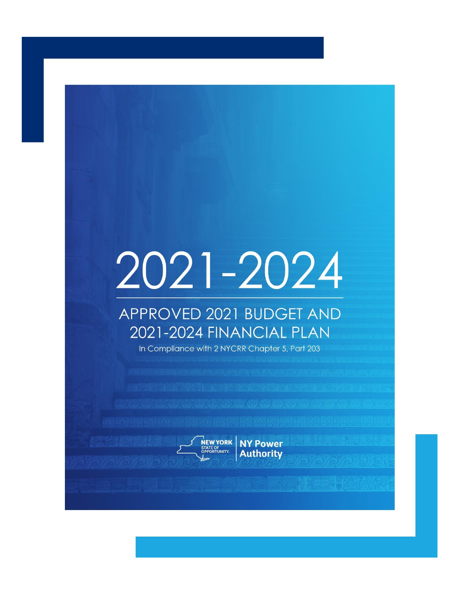# 2021-2024

# APPROVED 2021 BUDGET AND 2021-2024 FINANCIAL PLAN

In Compliance with 2 NYCRR Chapter 5, Part 203



**Authority**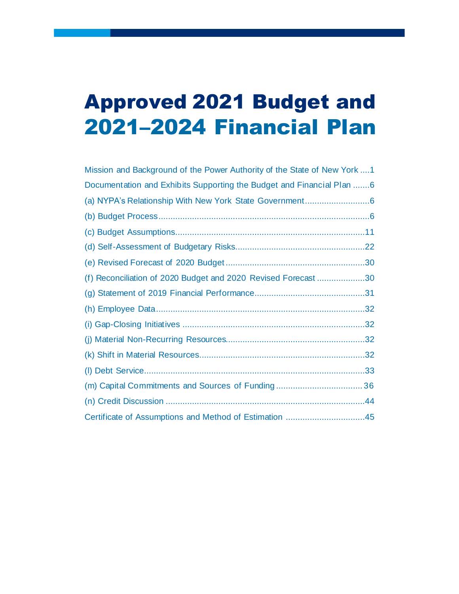# Approved 2021 Budget and 2021–2024 Financial Plan

| Mission and Background of the Power Authority of the State of New York 1 |
|--------------------------------------------------------------------------|
| Documentation and Exhibits Supporting the Budget and Financial Plan 6    |
|                                                                          |
|                                                                          |
|                                                                          |
|                                                                          |
|                                                                          |
| (f) Reconciliation of 2020 Budget and 2020 Revised Forecast 30           |
|                                                                          |
|                                                                          |
|                                                                          |
|                                                                          |
|                                                                          |
|                                                                          |
|                                                                          |
|                                                                          |
| Certificate of Assumptions and Method of Estimation 45                   |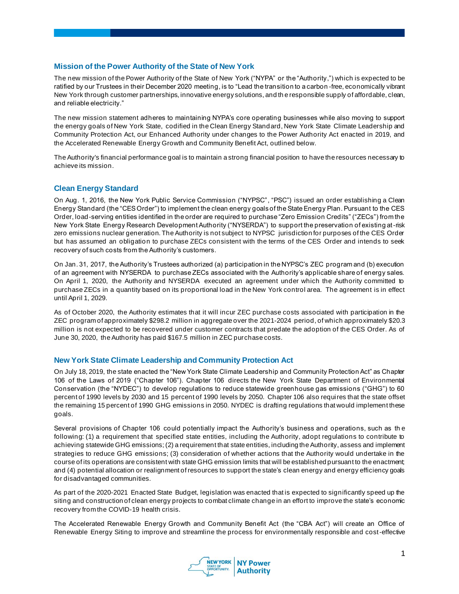#### **Mission of the Power Authority of the State of New York**

The new mission of the Power Authority of the State of New York ("NYPA" or the "Authority,") which is expected to be ratified by our Trustees in their December 2020 meeting, is to "Lead the transition to a carbon -free, economically vibrant New York through customer partnerships, innovative energy solutions, and th e responsible supply of affordable, clean, and reliable electricity."

The new mission statement adheres to maintaining NYPA's core operating businesses while also moving to support the energy goals of New York State, codified in the Clean Energy Standard, New York State Climate Leadership and Community Protection Act, our Enhanced Authority under changes to the Power Authority Act enacted in 2019, and the Accelerated Renewable Energy Growth and Community Benefit Act, outlined below.

The Authority's financial performance goal is to maintain a strong financial position to have the resources necessary to achieve its mission.

#### **Clean Energy Standard**

On Aug. 1, 2016, the New York Public Service Commission ("NYPSC", "PSC") issued an order establishing a Clean Energy Standard (the "CES Order") to implement the clean energy goals of the State Energy Plan. Pursuant to the CES Order, load-serving entities identified in the order are required to purchase "Zero Emission Credits" ("ZECs") from the New York State Energy Research Development Authority ("NYSERDA") to support the preservation of existing at-risk zero emissions nuclear generation. The Authority is not subject to NYPSC jurisdiction for purposes of the CES Order but has assumed an obligation to purchase ZECs consistent with the terms of the CES Order and intends to seek recovery of such costs from the Authority's customers.

On Jan. 31, 2017, the Authority's Trustees authorized (a) participation in the NYPSC's ZEC program and (b) execution of an agreement with NYSERDA to purchase ZECs associated with the Authority's applicable share of energy sales. On April 1, 2020, the Authority and NYSERDA executed an agreement under which the Authority committed to purchase ZECs in a quantity based on its proportional load in the New York control area. The agreement is in effect until April 1, 2029.

As of October 2020, the Authority estimates that it will incur ZEC purchase costs associated with participation in the ZEC program of approximately \$298.2 million in aggregate over the 2021-2024 period, of which approximately \$20.3 million is not expected to be recovered under customer contracts that predate the adoption of the CES Order. As of June 30, 2020, the Authority has paid \$167.5 million in ZEC purchase costs.

#### **New York State Climate Leadership and Community Protection Act**

On July 18, 2019, the state enacted the "New York State Climate Leadership and Community Protection Act" as Chapter 106 of the Laws of 2019 ("Chapter 106"). Chapter 106 directs the New York State Department of Environmental Conservation (the "NYDEC") to develop regulations to reduce statewide greenhouse gas emissions ("GHG") to 60 percent of 1990 levels by 2030 and 15 percent of 1990 levels by 2050. Chapter 106 also requires that the state offset the remaining 15 percent of 1990 GHG emissions in 2050. NYDEC is drafting regulations that would implement these goals.

Several provisions of Chapter 106 could potentially impact the Authority's business and operations, such as th e following: (1) a requirement that specified state entities, including the Authority, adopt regulations to contribute to achieving statewide GHG emissions; (2) a requirement that state entities, including the Authority, assess and implement strategies to reduce GHG emissions; (3) consideration of whether actions that the Authority would undertake in the course of its operations are consistent with state GHG emission limits that will be established pursuant to the enactment; and (4) potential allocation or realignment of resources to support the state's clean energy and energy efficiency goals for disadvantaged communities.

As part of the 2020-2021 Enacted State Budget, legislation was enacted that is expected to significantly speed up the siting and construction of clean energy projects to combat climate change in an effort to improve the state's economic recovery from the COVID-19 health crisis.

The Accelerated Renewable Energy Growth and Community Benefit Act (the "CBA Act") will create an Office of Renewable Energy Siting to improve and streamline the process for environmentally responsible and cost-effective

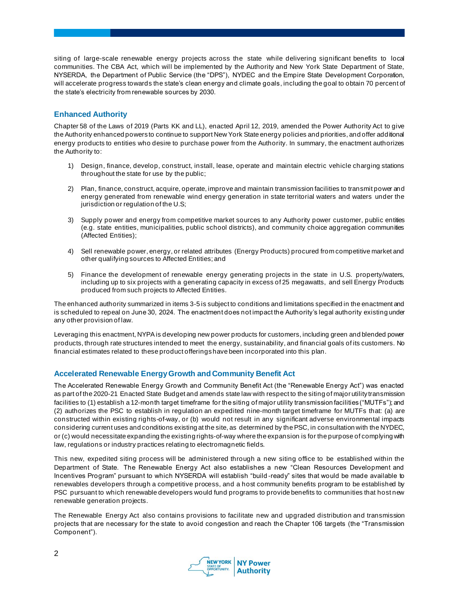siting of large-scale renewable energy projects across the state while delivering significant benefits to local communities. The CBA Act, which will be implemented by the Authority and New York State Department of State, NYSERDA, the Department of Public Service (the "DPS"), NYDEC and the Empire State Development Corporation, will accelerate progress towards the state's clean energy and climate goals, including the goal to obtain 70 percent of the state's electricity from renewable sources by 2030.

# **Enhanced Authority**

Chapter 58 of the Laws of 2019 (Parts KK and LL), enacted April 12, 2019, amended the Power Authority Act to give the Authority enhanced powers to continue to support New York State energy policies and priorities, and offer additional energy products to entities who desire to purchase power from the Authority. In summary, the enactment authorizes the Authority to:

- 1) Design, finance, develop, construct, install, lease, operate and maintain electric vehicle charging stations throughout the state for use by the public;
- 2) Plan, finance, construct, acquire, operate, improve and maintain transmission facilities to transmit power and energy generated from renewable wind energy generation in state territorial waters and waters under the jurisdiction or regulation of the U.S;
- 3) Supply power and energy from competitive market sources to any Authority power customer, public entities (e.g. state entities, municipalities, public school districts), and community choice aggregation communities (Affected Entities);
- 4) Sell renewable power, energy, or related attributes (Energy Products) procured from competitive market and other qualifying sources to Affected Entities; and
- 5) Finance the development of renewable energy generating projects in the state in U.S. property/waters, including up to six projects with a generating capacity in excess of 25 megawatts, and sell Energy Products produced from such projects to Affected Entities.

The enhanced authority summarized in items 3-5 is subject to conditions and limitations specified in the enactment and is scheduled to repeal on June 30, 2024. The enactment does not impact the Authority's legal authority existing under any other provision of law.

Leveraging this enactment, NYPA is developing new power products for customers, including green and blended power products, through rate structures intended to meet the energy, sustainability, and financial goals of its customers. No financial estimates related to these product offerings have been incorporated into this plan.

# **Accelerated Renewable Energy Growth and Community Benefit Act**

The Accelerated Renewable Energy Growth and Community Benefit Act (the "Renewable Energy Act") was enacted as part of the 2020-21 Enacted State Budget and amends state law with respect to the siting of major utility transmission facilities to (1) establish a 12-month target timeframe for the siting of major utility transmission facilities ("MUTFs"); and (2) authorizes the PSC to establish in regulation an expedited nine-month target timeframe for MUTFs that: (a) are constructed within existing rights-of-way, or (b) would not result in any significant adverse environmental impacts considering current uses and conditions existing at the site, as determined by the PSC, in consultation with the NYDEC, or (c) would necessitate expanding the existing rights-of-way where the expansion is for the purpose of complying with law, regulations or industry practices relating to electromagnetic fields.

This new, expedited siting process will be administered through a new siting office to be established within the Department of State. The Renewable Energy Act also establishes a new "Clean Resources Development and Incentives Program" pursuant to which NYSERDA will establish "build -ready" sites that would be made available to renewables developers through a competitive process, and a host community benefits program to be established by PSC pursuant to which renewable developers would fund programs to provide benefits to communities that host new renewable generation projects.

The Renewable Energy Act also contains provisions to facilitate new and upgraded distribution and transmission projects that are necessary for the state to avoid congestion and reach the Chapter 106 targets (the "Transmission Component").

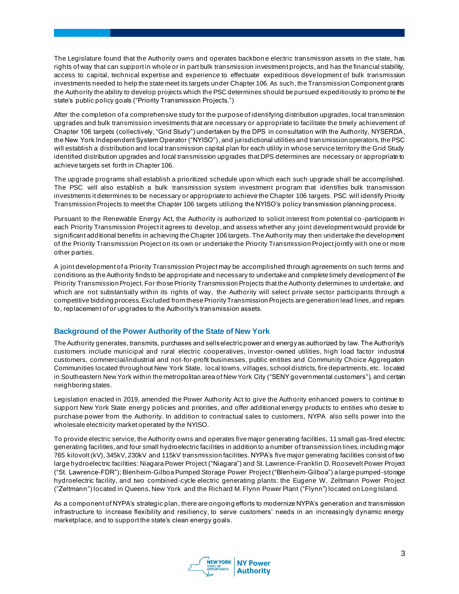The Legislature found that the Authority owns and operates backbon e electric transmission assets in the state, has rights of way that can support in whole or in part bulk transmission investment projects, and has the financial stability, access to capital, technical expertise and experience to effectuate expeditious development of bulk transmission investments needed to help the state meet its targets under Chapter 106. As such, the Transmission Component grants the Authority the ability to develop projects which the PSC determines should be pursued expeditiously to promo te the state's public policy goals ("Priority Transmission Projects.")

After the completion of a comprehensive study for the purpose of identifying distribution upgrades, local transmission upgrades and bulk transmission investments that are necessary or appropriate to facilitate the timely achievement of Chapter 106 targets (collectively, "Grid Study") undertaken by the DPS in consultation with the Authority, NYSERDA, the New York Independent System Operator ("NYISO"), and jurisdictional utilities and transmission operators, the PSC will establish a distribution and local transmission capital plan for each utility in whose service territory the Grid Study identified distribution upgrades and local transmission upgrades that DPS determines are necessary or appropriate to achieve targets set forth in Chapter 106.

The upgrade programs shall establish a prioritized schedule upon which each such upgrade shall be accomplished. The PSC will also establish a bulk transmission system investment program that identifies bulk transmission investments it determines to be necessary or appropriate to achieve the Chapter 106 targets. PSC will identify Priority Transmission Projects to meet the Chapter 106 targets utilizing the NYISO's policy transmission planning process.

Pursuant to the Renewable Energy Act, the Authority is authorized to solicit interest from potential co -participants in each Priority Transmission Project it agrees to develop, and assess whether any joint development would provide for significant additional benefits in achieving the Chapter 106 targets. The Authority may then undertake the development of the Priority Transmission Project on its own or undertake the Priority Transmission Project jointly with one or more other parties.

A joint development of a Priority Transmission Project may be accomplished through agreements on such terms and conditions as the Authority finds to be appropriate and necessary to undertake and complete timely development of the Priority Transmission Project. For those Priority Transmission Projects that the Authority determines to undertake, and which are not substantially within its rights of way, the Authority will select private sector participants through a competitive bidding process. Excluded from these Priority Transmission Projects are generation lead lines, and repairs to, replacement of or upgrades to the Authority's transmission assets.

#### **Background of the Power Authority of the State of New York**

The Authority generates, transmits, purchases and sells electric power and energy as authorized by law. The Authority's customers include municipal and rural electric cooperatives, investor-owned utilities, high load factor industrial customers, commercial/industrial and not-for-profit businesses, public entities and Community Choice Aggregation Communities located throughout New York State, local towns, villages, school districts, fire departments, etc. located in Southeastern New York within the metropolitan area of New York City ("SENY governmental customers"), and certain neighboring states.

Legislation enacted in 2019, amended the Power Authority Act to give the Authority enhanced powers to continue to support New York State energy policies and priorities, and offer additional energy products to entities who desire to purchase power from the Authority. In addition to contractual sales to customers, NYPA also sells power into the wholesale electricity market operated by the NYISO.

To provide electric service, the Authority owns and operates five major generating facilities, 11 small gas-fired electric generating facilities, and four small hydroelectric facilities in addition to a number of transmission lines, including major 765 kilovolt (kV), 345kV, 230kV and 115kV transmission facilities. NYPA's five major generating facilities consist of two large hydroelectric facilities: Niagara Power Project ("Niagara") and St. Lawrence-Franklin D. Roosevelt Power Project ("St. Lawrence-FDR"); Blenheim-Gilboa Pumped Storage Power Project ("Blenheim-Gilboa") a large pumped-storage hydroelectric facility, and two combined-cycle electric generating plants: the Eugene W. Zeltmann Power Project ("Zeltmann") located in Queens, New York and the Richard M. Flynn Power Plant ("Flynn") located on Long Island.

As a component of NYPA's strategic plan, there are ongoing efforts to modernize NYPA's generation and transmission infrastructure to increase flexibility and resiliency, to serve customers' needs in an increasingly dynamic energy marketplace, and to support the state's clean energy goals.

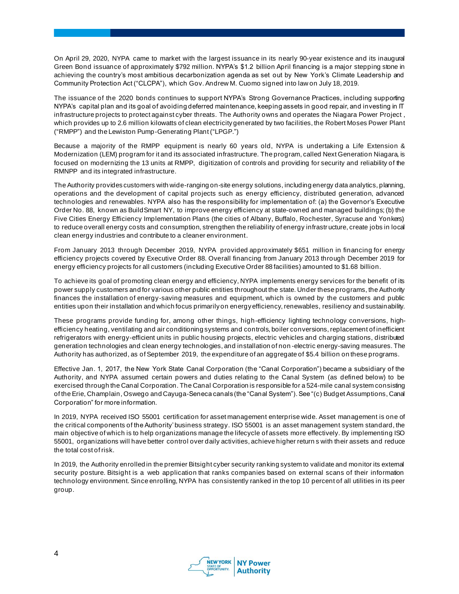On April 29, 2020, NYPA came to market with the largest issuance in its nearly 90-year existence and its inaugural Green Bond issuance of approximately \$792 million. NYPA's \$1.2 billion April financing is a major stepping stone in achieving the country's most ambitious decarbonization agenda as set out by New York's Climate Leadership and Community Protection Act ("CLCPA"), which Gov. Andrew M. Cuomo signed into law on July 18, 2019.

The issuance of the 2020 bonds continues to support NYPA's Strong Governance Practices, including supporting NYPA's capital plan and its goal of avoiding deferred maintenance, keeping assets in good repair, and investing in IT infrastructure projects to protect against cyber threats. The Authority owns and operates the Niagara Power Project , which provides up to 2.6 million kilowatts of clean electricity generated by two facilities, the Robert Moses Power Plant ("RMPP") and the Lewiston Pump-Generating Plant ("LPGP.")

Because a majority of the RMPP equipment is nearly 60 years old, NYPA is undertaking a Life Extension & Modernization (LEM) program for it and its associated infrastructure. The program, called Next Generation Niagara, is focused on modernizing the 13 units at RMPP, digitization of controls and providing for security and reliability of the RMNPP and its integrated infrastructure.

The Authority provides customers with wide-ranging on-site energy solutions, including energy data analytics, planning, operations and the development of capital projects such as energy efficiency, distributed generation, advanced technologies and renewables. NYPA also has the responsibility for implementation of: (a) the Governor's Executive Order No. 88, known as BuildSmart NY, to improve energy efficiency at state-owned and managed buildings; (b) the Five Cities Energy Efficiency Implementation Plans (the cities of Albany, Buffalo, Rochester, Syracuse and Yonkers) to reduce overall energy costs and consumption, strengthen the reliability of energy infrastr ucture, create jobs in local clean energy industries and contribute to a cleaner environment.

From January 2013 through December 2019, NYPA provided approximately \$651 million in financing for energy efficiency projects covered by Executive Order 88. Overall financing from January 2013 through December 2019 for energy efficiency projects for all customers (including Executive Order 88 facilities) amounted to \$1.68 billion.

To achieve its goal of promoting clean energy and efficiency, NYPA implements energy services for the benefit of its power supply customers and for various other public entities throughout the state. Under these programs, the Authority finances the installation of energy-saving measures and equipment, which is owned by the customers and public entities upon their installation and which focus primarily on energy efficiency, renewables, resiliency and sustainability.

These programs provide funding for, among other things, high-efficiency lighting technology conversions, highefficiency heating, ventilating and air conditioning systems and controls, boiler conversions, replacement of inefficient refrigerators with energy-efficient units in public housing projects, electric vehicles and charging stations, distributed generation technologies and clean energy technologies, and installation of non -electric energy-saving measures. The Authority has authorized, as of September 2019, the expenditure of an aggregate of \$5.4 billion on these programs.

Effective Jan. 1, 2017, the New York State Canal Corporation (the "Canal Corporation") became a subsidiary of the Authority, and NYPA assumed certain powers and duties relating to the Canal System (as defined below) to be exercised through the Canal Corporation. The Canal Corporation is responsible for a 524-mile canal system consisting of the Erie, Champlain, Oswego and Cayuga-Seneca canals (the "Canal System"). See "(c) Budget Assumptions, Canal Corporation" for more information.

In 2019, NYPA received ISO 55001 certification for asset management enterprise wide. Asset management is one of the critical components of the Authority' business strategy. ISO 55001 is an asset management system standard, the main objective of which is to help organizations manage the lifecycle of assets more effectively. By implementing ISO 55001, organizations will have better control over daily activities, achieve higher return s with their assets and reduce the total cost of risk.

In 2019, the Authority enrolled in the premier Bitsight cyber security ranking system to validate and monitor its external security posture. Bitsight is a web application that ranks companies based on external scans of their information technology environment. Since enrolling, NYPA has consistently ranked in the top 10 percent of all utilities in its peer group.

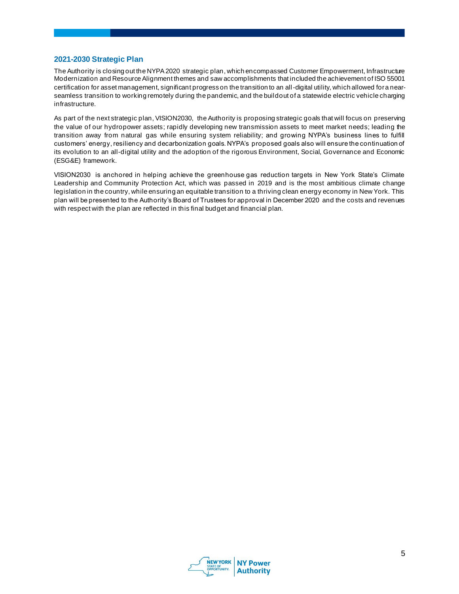#### **2021-2030 Strategic Plan**

The Authority is closing out the NYPA 2020 strategic plan, which encompassed Customer Empowerment, Infrastructure Modernization and Resource Alignment themes and saw accomplishments that included the achievement of ISO 55001 certification for asset management, significant progress on the transition to an all-digital utility, which allowed for a nearseamless transition to working remotely during the pandemic, and the buildout of a statewide electric vehicle charging infrastructure.

As part of the next strategic plan, VISION2030, the Authority is proposing strategic goals that will focus on preserving the value of our hydropower assets; rapidly developing new transmission assets to meet market needs; leading the transition away from natural gas while ensuring system reliability; and growing NYPA's business lines to fulfill customers' energy, resiliency and decarbonization goals. NYPA's proposed goals also will ensure the continuation of its evolution to an all-digital utility and the adoption of the rigorous Environment, Social, Governance and Economic (ESG&E) framework.

VISION2030 is anchored in helping achieve the greenhouse gas reduction targets in New York State's Climate Leadership and Community Protection Act, which was passed in 2019 and is the most ambitious climate change legislation in the country, while ensuring an equitable transition to a thriving clean energy economy in New York. This plan will be presented to the Authority's Board of Trustees for approval in December 2020 and the costs and revenues with respect with the plan are reflected in this final budget and financial plan.

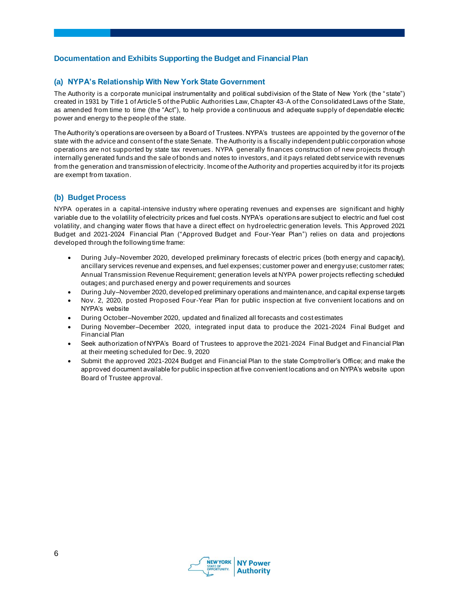# **Documentation and Exhibits Supporting the Budget and Financial Plan**

#### **(a) NYPA's Relationship With New York State Government**

The Authority is a corporate municipal instrumentality and political subdivision of the State of New York (the " state") created in 1931 by Title 1 of Article 5 of the Public Authorities Law, Chapter 43-A of the Consolidated Laws of the State, as amended from time to time (the "Act"), to help provide a continuous and adequate supply of dependable electric power and energy to the people of the state.

The Authority's operations are overseen by a Board of Trustees. NYPA's trustees are appointed by the governor of the state with the advice and consent of the state Senate. The Authority is a fiscally independent public corporation whose operations are not supported by state tax revenues. NYPA generally finances construction of new projects through internally generated funds and the sale of bonds and notes to investors, and it pays related debt service with revenues from the generation and transmission of electricity. Income of the Authority and properties acquired by it for its projects are exempt from taxation.

# **(b) Budget Process**

NYPA operates in a capital-intensive industry where operating revenues and expenses are significant and highly variable due to the volatility of electricity prices and fuel costs. NYPA's operations are subject to electric and fuel cost volatility, and changing water flows that have a direct effect on hydroelectric generation levels. This Approved 2021 Budget and 2021-2024 Financial Plan ("Approved Budget and Four-Year Plan") relies on data and projections developed through the following time frame:

- During July–November 2020, developed preliminary forecasts of electric prices (both energy and capacity), ancillary services revenue and expenses, and fuel expenses; customer power and energy use; customer rates; Annual Transmission Revenue Requirement; generation levels at NYPA power projects reflecting scheduled outages; and purchased energy and power requirements and sources
- During July–November 2020, developed preliminary operations and maintenance, and capital expense targets
- Nov. 2, 2020, posted Proposed Four-Year Plan for public inspection at five convenient locations and on NYPA's website
- During October–November 2020, updated and finalized all forecasts and cost estimates
- During November–December 2020, integrated input data to produce the 2021-2024 Final Budget and Financial Plan
- Seek authorization of NYPA's Board of Trustees to approve the 2021-2024 Final Budget and Financial Plan at their meeting scheduled for Dec. 9, 2020
- Submit the approved 2021-2024 Budget and Financial Plan to the state Comptroller's Office; and make the approved document available for public inspection at five convenient locations and on NYPA's website upon Board of Trustee approval.

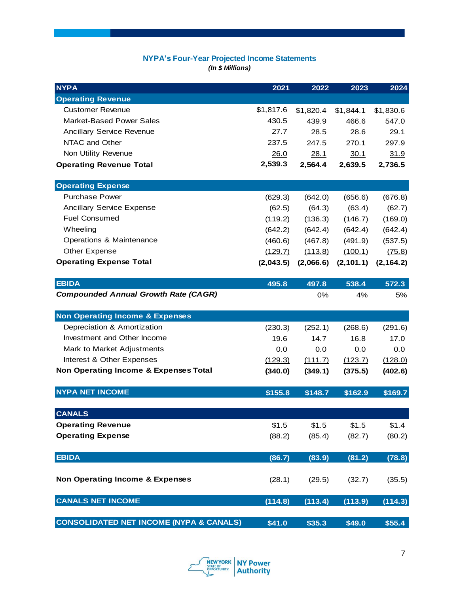# **NYPA's Four-Year Projected Income Statements**

*(In \$ Millions)*

| <b>NYPA</b>                                        | 2021      | 2022        | 2023       | 2024       |
|----------------------------------------------------|-----------|-------------|------------|------------|
| <b>Operating Revenue</b>                           |           |             |            |            |
| <b>Customer Revenue</b>                            | \$1,817.6 | \$1,820.4   | \$1,844.1  | \$1,830.6  |
| <b>Market-Based Power Sales</b>                    | 430.5     | 439.9       | 466.6      | 547.0      |
| <b>Ancillary Service Revenue</b>                   | 27.7      | 28.5        | 28.6       | 29.1       |
| NTAC and Other                                     | 237.5     | 247.5       | 270.1      | 297.9      |
| Non Utility Revenue                                | 26.0      | <u>28.1</u> | 30.1       | 31.9       |
| <b>Operating Revenue Total</b>                     | 2,539.3   | 2,564.4     | 2,639.5    | 2,736.5    |
|                                                    |           |             |            |            |
| <b>Operating Expense</b>                           |           |             |            |            |
| <b>Purchase Power</b>                              | (629.3)   | (642.0)     | (656.6)    | (676.8)    |
| <b>Ancillary Service Expense</b>                   | (62.5)    | (64.3)      | (63.4)     | (62.7)     |
| <b>Fuel Consumed</b>                               | (119.2)   | (136.3)     | (146.7)    | (169.0)    |
| Wheeling                                           | (642.2)   | (642.4)     | (642.4)    | (642.4)    |
| Operations & Maintenance                           | (460.6)   | (467.8)     | (491.9)    | (537.5)    |
| Other Expense                                      | (129.7)   | (113.8)     | (100.1)    | (75.8)     |
| <b>Operating Expense Total</b>                     | (2,043.5) | (2,066.6)   | (2, 101.1) | (2, 164.2) |
|                                                    |           |             |            |            |
| <b>EBIDA</b>                                       | 495.8     | 497.8       | 538.4      | 572.3      |
| <b>Compounded Annual Growth Rate (CAGR)</b>        |           | 0%          | 4%         | 5%         |
|                                                    |           |             |            |            |
| <b>Non Operating Income &amp; Expenses</b>         |           |             |            |            |
| Depreciation & Amortization                        | (230.3)   | (252.1)     | (268.6)    | (291.6)    |
| Investment and Other Income                        | 19.6      | 14.7        | 16.8       | 17.0       |
| Mark to Market Adjustments                         | 0.0       | 0.0         | 0.0        | 0.0        |
| Interest & Other Expenses                          | (129.3)   | (111.7)     | (123.7)    | (128.0)    |
| Non Operating Income & Expenses Total              | (340.0)   | (349.1)     | (375.5)    | (402.6)    |
| <b>NYPA NET INCOME</b>                             |           |             |            |            |
|                                                    | \$155.8   | \$148.7     | \$162.9    | \$169.7    |
| <b>CANALS</b>                                      |           |             |            |            |
| <b>Operating Revenue</b>                           | \$1.5     | \$1.5       | \$1.5      | \$1.4      |
| <b>Operating Expense</b>                           | (88.2)    | (85.4)      | (82.7)     | (80.2)     |
|                                                    |           |             |            |            |
| <b>EBIDA</b>                                       | (86.7)    | (83.9)      | (81.2)     | (78.8)     |
|                                                    |           |             |            |            |
| <b>Non Operating Income &amp; Expenses</b>         | (28.1)    | (29.5)      | (32.7)     | (35.5)     |
|                                                    |           |             |            |            |
| <b>CANALS NET INCOME</b>                           | (114.8)   | (113.4)     | (113.9)    | (114.3)    |
|                                                    |           |             |            |            |
| <b>CONSOLIDATED NET INCOME (NYPA &amp; CANALS)</b> | \$41.0    | \$35.3      | \$49.0     | \$55.4\$   |

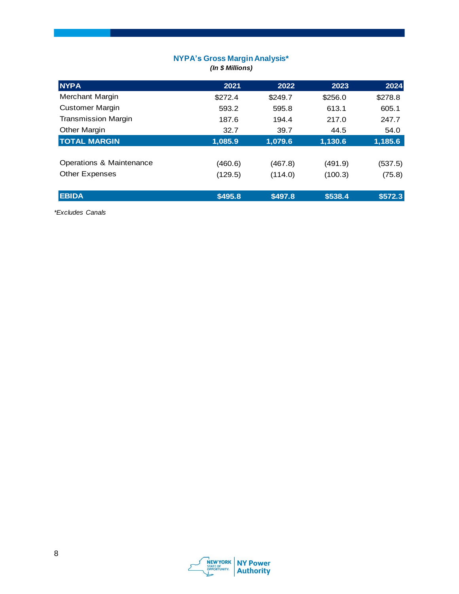#### **NYPA's Gross Margin Analysis\*** *(In \$ Millions)*

| <b>NYPA</b>                | 2021    | 2022    | 2023    | 2024    |
|----------------------------|---------|---------|---------|---------|
| Merchant Margin            | \$272.4 | \$249.7 | \$256.0 | \$278.8 |
| <b>Customer Margin</b>     | 593.2   | 595.8   | 613.1   | 605.1   |
| <b>Transmission Margin</b> | 187.6   | 194.4   | 217.0   | 247.7   |
| <b>Other Margin</b>        | 32.7    | 39.7    | 44.5    | 54.0    |
| <b>TOTAL MARGIN</b>        | 1,085.9 | 1,079.6 | 1,130.6 | 1,185.6 |
|                            |         |         |         |         |
| Operations & Maintenance   | (460.6) | (467.8) | (491.9) | (537.5) |
| <b>Other Expenses</b>      | (129.5) | (114.0) | (100.3) | (75.8)  |
|                            |         |         |         |         |
| <b>EBIDA</b>               | \$495.8 | \$497.8 | \$538.4 | \$572.3 |

*\*Excludes Canals*

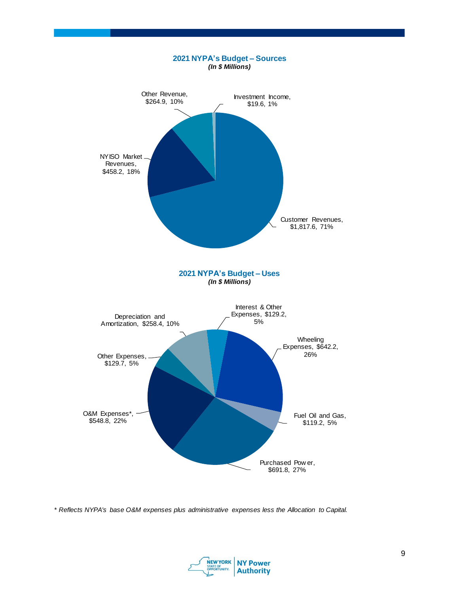

*\* Reflects NYPA's base O&M expenses plus administrative expenses less the Allocation to Capital.*

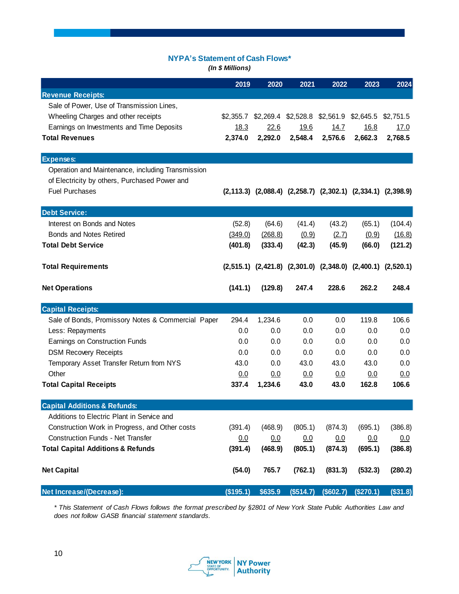# **NYPA's Statement of Cash Flows\***

*(In \$ Millions)*

|                                                    | 2019       | 2020      | 2021      | 2022                                                                    | 2023      | 2024        |
|----------------------------------------------------|------------|-----------|-----------|-------------------------------------------------------------------------|-----------|-------------|
| <b>Revenue Receipts:</b>                           |            |           |           |                                                                         |           |             |
| Sale of Power, Use of Transmission Lines,          |            |           |           |                                                                         |           |             |
| Wheeling Charges and other receipts                | \$2,355.7  | \$2,269.4 |           | \$2,528.8 \$2,561.9                                                     | \$2,645.5 | \$2,751.5   |
| Earnings on Investments and Time Deposits          | 18.3       | 22.6      | 19.6      | 14.7                                                                    | 16.8      | <u>17.0</u> |
| <b>Total Revenues</b>                              | 2,374.0    | 2,292.0   | 2,548.4   | 2,576.6                                                                 | 2,662.3   | 2,768.5     |
| <b>Expenses:</b>                                   |            |           |           |                                                                         |           |             |
| Operation and Maintenance, including Transmission  |            |           |           |                                                                         |           |             |
| of Electricity by others, Purchased Power and      |            |           |           |                                                                         |           |             |
| <b>Fuel Purchases</b>                              |            |           |           | $(2,113.3)$ $(2,088.4)$ $(2,258.7)$ $(2,302.1)$ $(2,334.1)$ $(2,398.9)$ |           |             |
| <b>Debt Service:</b>                               |            |           |           |                                                                         |           |             |
| Interest on Bonds and Notes                        | (52.8)     | (64.6)    | (41.4)    | (43.2)                                                                  | (65.1)    | (104.4)     |
| <b>Bonds and Notes Retired</b>                     | (349.0)    | (268.8)   | (0.9)     | (2.7)                                                                   | (0.9)     | (16.8)      |
| <b>Total Debt Service</b>                          | (401.8)    | (333.4)   | (42.3)    | (45.9)                                                                  | (66.0)    | (121.2)     |
| <b>Total Requirements</b>                          |            |           |           | $(2,515.1)$ $(2,421.8)$ $(2,301.0)$ $(2,348.0)$ $(2,400.1)$ $(2,520.1)$ |           |             |
| <b>Net Operations</b>                              | (141.1)    | (129.8)   | 247.4     | 228.6                                                                   | 262.2     | 248.4       |
| <b>Capital Receipts:</b>                           |            |           |           |                                                                         |           |             |
| Sale of Bonds, Promissory Notes & Commercial Paper | 294.4      | 1,234.6   | 0.0       | 0.0                                                                     | 119.8     | 106.6       |
| Less: Repayments                                   | 0.0        | 0.0       | 0.0       | 0.0                                                                     | 0.0       | 0.0         |
| Earnings on Construction Funds                     | 0.0        | 0.0       | 0.0       | 0.0                                                                     | 0.0       | 0.0         |
| <b>DSM Recovery Receipts</b>                       | 0.0        | 0.0       | 0.0       | 0.0                                                                     | 0.0       | 0.0         |
| Temporary Asset Transfer Return from NYS           | 43.0       | 0.0       | 43.0      | 43.0                                                                    | 43.0      | 0.0         |
| Other                                              | <u>0.0</u> | 0.0       | 0.0       | 0.0                                                                     | 0.0       | 0.0         |
| <b>Total Capital Receipts</b>                      | 337.4      | 1,234.6   | 43.0      | 43.0                                                                    | 162.8     | 106.6       |
| <b>Capital Additions &amp; Refunds:</b>            |            |           |           |                                                                         |           |             |
| Additions to Electric Plant in Service and         |            |           |           |                                                                         |           |             |
| Construction Work in Progress, and Other costs     | (391.4)    | (468.9)   | (805.1)   | (874.3)                                                                 | (695.1)   | (386.8)     |
| <b>Construction Funds - Net Transfer</b>           | 0.0        | 0.0       | 0.0       | 0.0                                                                     | 0.0       | 0.0         |
| <b>Total Capital Additions &amp; Refunds</b>       | (391.4)    | (468.9)   | (805.1)   | (874.3)                                                                 | (695.1)   | (386.8)     |
| <b>Net Capital</b>                                 | (54.0)     | 765.7     | (762.1)   | (831.3)                                                                 | (532.3)   | (280.2)     |
| Net Increase/(Decrease):                           | (\$195.1)  | \$635.9   | (\$514.7) | (\$602.7)                                                               | (\$270.1) | (\$31.8)    |

*\* This Statement of Cash Flows follows the format prescribed by §2801 of New York State Public Authorities Law and does not follow GASB financial statement standards.*

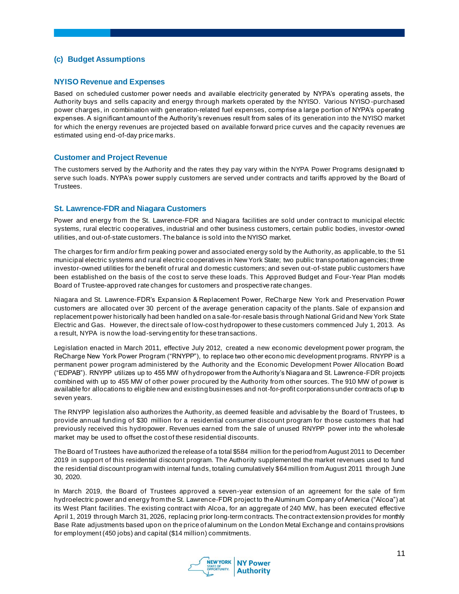## **(c) Budget Assumptions**

#### **NYISO Revenue and Expenses**

Based on scheduled customer power needs and available electricity generated by NYPA's operating assets, the Authority buys and sells capacity and energy through markets operated by the NYISO. Various NYISO -purchased power charges, in combination with generation-related fuel expenses, comprise a large portion of NYPA's operating expenses. A significant amount of the Authority's revenues result from sales of its generation into the NYISO market for which the energy revenues are projected based on available forward price curves and the capacity revenues are estimated using end-of-day price marks.

#### **Customer and Project Revenue**

The customers served by the Authority and the rates they pay vary within the NYPA Power Programs designated to serve such loads. NYPA's power supply customers are served under contracts and tariffs approved by the Board of Trustees.

#### **St. Lawrence-FDR and Niagara Customers**

Power and energy from the St. Lawrence-FDR and Niagara facilities are sold under contract to municipal electric systems, rural electric cooperatives, industrial and other business customers, certain public bodies, investor-owned utilities, and out-of-state customers. The balance is sold into the NYISO market.

The charges for firm and/or firm peaking power and associated energy sold by the Authority, as applicable, to the 51 municipal electric systems and rural electric cooperatives in New York State; two public transportation agencies; three investor-owned utilities for the benefit of rural and domestic customers; and seven out-of-state public customers have been established on the basis of the cost to serve these loads. This Approved Budget and Four-Year Plan models Board of Trustee-approved rate changes for customers and prospective rate changes.

Niagara and St. Lawrence-FDR's Expansion & Replacement Power, ReCharge New York and Preservation Power customers are allocated over 30 percent of the average generation capacity of the plants. Sale of expansion and replacement power historically had been handled on a sale-for-resale basis through National Grid and New York State Electric and Gas. However, the direct sale of low-cost hydropower to these customers commenced July 1, 2013. As a result, NYPA is now the load-serving entity for these transactions.

Legislation enacted in March 2011, effective July 2012, created a new economic development power program, the ReCharge New York Power Program ("RNYPP"), to replace two other econo mic development programs. RNYPP is a permanent power program administered by the Authority and the Economic Development Power Allocation Board ("EDPAB"). RNYPP utilizes up to 455 MW of hydropower from the Authority's Niagara and St. Lawrence-FDR projects combined with up to 455 MW of other power procured by the Authority from other sources. The 910 MW of power is available for allocations to eligible new and existing businesses and not-for-profit corporations under contracts of up to seven years.

The RNYPP legislation also authorizes the Authority, as deemed feasible and advisable by the Board of Trustees, to provide annual funding of \$30 million for a residential consumer discount program for those customers that had previously received this hydropower. Revenues earned from the sale of unused RNYPP power into the wholesale market may be used to offset the cost of these residential discounts.

The Board of Trustees have authorized the release of a total \$584 million for the period from August 2011 to December 2019 in support of this residential discount program. The Authority supplemented the market revenues used to fund the residential discount program with internal funds, totaling cumulatively \$64 million from August 2011 through June 30, 2020.

In March 2019, the Board of Trustees approved a seven-year extension of an agreement for the sale of firm hydroelectric power and energy from the St. Lawrence-FDR project to the Aluminum Company of America ("Alcoa") at its West Plant facilities. The existing contract with Alcoa, for an aggregate of 240 MW, has been executed effective April 1, 2019 through March 31, 2026, replacing prior long-term contracts. The contract extension provides for monthly Base Rate adjustments based upon on the price of aluminum on the London Metal Exchange and contains provisions for employment (450 jobs) and capital (\$14 million) commitments.

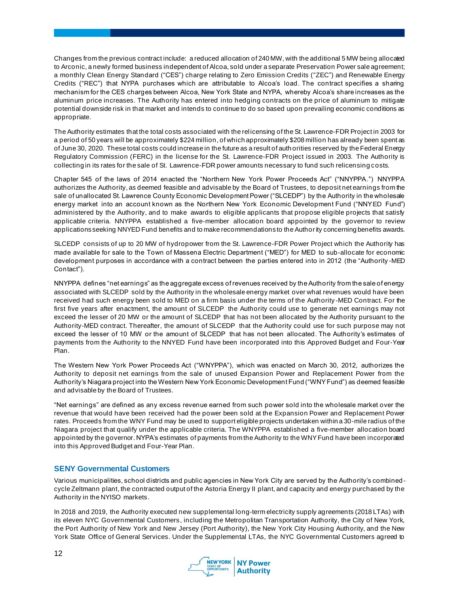Changes from the previous contract include: a reduced allocation of 240 MW, with the additional 5 MW being allocated to Arconic, a newly formed business independent of Alcoa, sold under a separate Preservation Power sale agreement; a monthly Clean Energy Standard ("CES") charge relating to Zero Emission Credits ("ZEC") and Renewable Energy Credits ("REC") that NYPA purchases which are attributable to Alcoa's load. The contract specifies a sharing mechanism for the CES charges between Alcoa, New York State and NYPA, whereby Alcoa's share increases as the aluminum price increases. The Authority has entered into hedging contracts on the price of aluminum to mitigate potential downside risk in that market and intends to continue to do so based upon prevailing economic conditions as appropriate.

The Authority estimates that the total costs associated with the rel icensing of the St. Lawrence-FDR Project in 2003 for a period of 50 years will be approximately \$224 million, of which approximately \$208 million has already been spent as of June 30, 2020. These total costs could increase in the future as a result of auth orities reserved by the Federal Energy Regulatory Commission (FERC) in the license for the St. Lawrence-FDR Project issued in 2003. The Authority is collecting in its rates for the sale of St. Lawrence-FDR power amounts necessary to fund such relicensing costs.

Chapter 545 of the laws of 2014 enacted the "Northern New York Power Proceeds Act" ("NNYPPA.") NNYPPA authorizes the Authority, as deemed feasible and advisable by the Board of Trustees, to deposit net earnings from the sale of unallocated St. Lawrence County Economic Development Power ("SLCEDP") by the Authority in the wholesale energy market into an account known as the Northern New York Economic Development Fund ("NNYED Fund") administered by the Authority, and to make awards to eligible applicants that propose eligible projects that satisfy applicable criteria. NNYPPA established a five-member allocation board appointed by the governor to review applications seeking NNYED Fund benefits and to make recommendations to the Authority concerning benefits awards.

SLCEDP consists of up to 20 MW of hydropower from the St. Lawrence-FDR Power Project which the Authority has made available for sale to the Town of Massena Electric Department ("MED") for MED to sub-allocate for economic development purposes in accordance with a contract between the parties entered into in 2012 (the "Authority -MED Contact").

NNYPPA defines "net earnings" as the aggregate excess of revenues received by the Authority from the sale of energy associated with SLCEDP sold by the Authority in the wholesale energy market over what revenues would have been received had such energy been sold to MED on a firm basis under the terms of the Authority -MED Contract. For the first five years after enactment, the amount of SLCEDP the Authority could use to generate net earnings may not exceed the lesser of 20 MW or the amount of SLCEDP that has not been allocated by the Authority pursuant to the Authority-MED contract. Thereafter, the amount of SLCEDP that the Authority could use for such purpose may not exceed the lesser of 10 MW or the amount of SLCEDP that has not been allocated. The Authority's estimates of payments from the Authority to the NNYED Fund have been incorporated into this Approved Budget and Four-Year Plan.

The Western New York Power Proceeds Act ("WNYPPA"), which was enacted on March 30, 2012, authorizes the Authority to deposit net earnings from the sale of unused Expansion Power and Replacement Power from the Authority's Niagara project into the Western New York Economic Development Fund ("WNY Fund") as deemed feasible and advisable by the Board of Trustees.

"Net earnings" are defined as any excess revenue earned from such power sold into the wholesale market over the revenue that would have been received had the power been sold at the Expansion Power and Replacement Power rates. Proceeds from the WNY Fund may be used to support eligible projects undertaken within a 30-mile radius of the Niagara project that qualify under the applicable criteria. The WNYPPA established a five-member allocation board appointed by the governor. NYPA's estimates of payments from the Authority to the WNY Fund have been incorporated into this Approved Budget and Four-Year Plan.

# **SENY Governmental Customers**

Various municipalities, school districts and public agencies in New York City are served by the Authority's combinedcycle Zeltmann plant, the contracted output of the Astoria Energy II plant, and capacity and energy purchased by the Authority in the NYISO markets.

In 2018 and 2019, the Authority executed new supplemental long-term electricity supply agreements (2018 LTAs) with its eleven NYC Governmental Customers, including the Metropolitan Transportation Authority, the City of New York, the Port Authority of New York and New Jersey (Port Authority), the New York City Housing Authority, and the New York State Office of General Services. Under the Supplemental LTAs, the NYC Governmental Customers agreed to

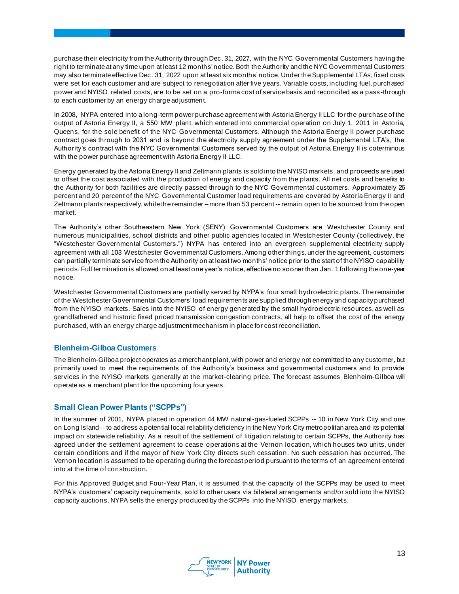purchase their electricity from the Authority through Dec. 31, 2027, with the NYC Governmental Customers having the right to terminate at any time upon at least 12 months' notice. Both the Authority and the NYC Governmental Customers may also terminate effective Dec. 31, 2022 upon at least six months' notice. Under the Supplemental LTAs, fixed costs were set for each customer and are subject to renegotiation after five years. Variable costs, including fuel, purchased power and NYISO related costs, are to be set on a pro-forma cost of service basis and reconciled as a pass-through to each customer by an energy charge adjustment.

In 2008, NYPA entered into a long-term power purchase agreement with Astoria Energy II LLC for the purchase of the output of Astoria Energy II, a 550 MW plant, which entered into commercial operation on July 1, 2011 in Astoria, Queens, for the sole benefit of the NYC Governmental Customers. Although the Astoria Energy II power purchase contract goes through to 2031 and is beyond the electricity supply agreement under the Supplemental LTA's, the Authority's contract with the NYC Governmental Customers served by the output of Astoria Energy II is coterminous with the power purchase agreement with Astoria Energy II LLC.

Energy generated by the Astoria Energy II and Zeltmann plants is sold into the NYISO markets, and proceeds are used to offset the cost associated with the production of energy and capacity from the plants. All net costs and benefits to the Authority for both facilities are directly passed through to the NYC Governmental customers. Approximately 26 percent and 20 percent of the NYC Governmental Customer load requirements are covered by Astoria Energy II and Zeltmann plants respectively, while the remainder – more than 53 percent -- remain open to be sourced from the open market.

The Authority's other Southeastern New York (SENY) Governmental Customers are Westchester County and numerous municipalities, school districts and other public agencies located in Westchester County (collectively, the "Westchester Governmental Customers.") NYPA has entered into an evergreen supplemental electricity supply agreement with all 103 Westchester Governmental Customers. Among other things, under the agreement, customers can partially terminate service from the Authority on at least two months' notice prior to the start of the NYISO capability periods. Full termination is allowed on at least one year's notice, effective no sooner than Jan . 1 following the one-year notice.

Westchester Governmental Customers are partially served by NYPA's four small hydroelectric plants. The remainder of the Westchester Governmental Customers' load requirements are supplied through energy and capacity purchased from the NYISO markets. Sales into the NYISO of energy generated by the small hydroelectric resources, as well as grandfathered and historic fixed priced transmission congestion contracts, all help to offset the cost of the energy purchased, with an energy charge adjustment mechanism in place for cost reconciliation.

#### **Blenheim-Gilboa Customers**

The Blenheim-Gilboa project operates as a merchant plant, with power and energy not committed to any customer, but primarily used to meet the requirements of the Authority's business and governmental customers and to provide services in the NYISO markets generally at the market-clearing price. The forecast assumes Blenheim-Gilboa will operate as a merchant plant for the upcoming four years.

# **Small Clean Power Plants ("SCPPs")**

In the summer of 2001, NYPA placed in operation 44 MW natural-gas-fueled SCPPs -- 10 in New York City and one on Long Island -- to address a potential local reliability deficiency in the New York City metropolitan area and its potential impact on statewide reliability. As a result of the settlement of litigation relating to certain SCPPs, the Authority has agreed under the settlement agreement to cease operations at the Vernon location, which houses two units, under certain conditions and if the mayor of New York City directs such cessation. No such cessation has occurred. The Vernon location is assumed to be operating during the forecast period pursuant to the terms of an agreement entered into at the time of construction.

For this Approved Budget and Four-Year Plan, it is assumed that the capacity of the SCPPs may be used to meet NYPA's customers' capacity requirements, sold to other users via bilateral arrangements and/or sold into the NYISO capacity auctions. NYPA sells the energy produced by the SCPPs into the NYISO energy markets.

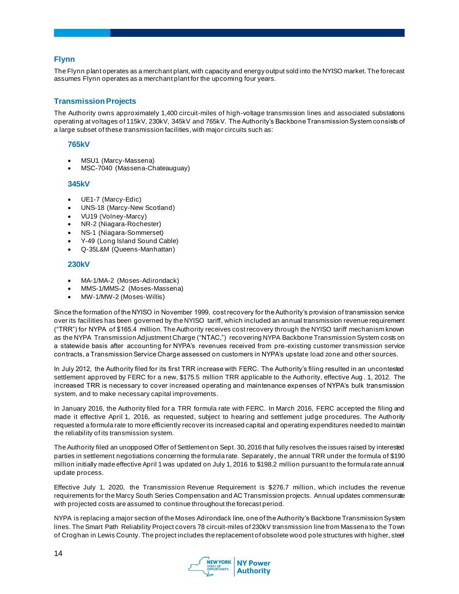# **Flynn**

The Flynn plant operates as a merchant plant, with capacity and energy output sold into the NYISO market. The forecast assumes Flynn operates as a merchant plant for the upcoming four years.

# **Transmission Projects**

The Authority owns approximately 1,400 circuit-miles of high-voltage transmission lines and associated substations operating at voltages of 115kV, 230kV, 345kV and 765kV. The Authority's Backbone Transmission System consists of a large subset of these transmission facilities, with major circuits such as:

#### **765kV**

- MSU1 (Marcy-Massena)
- MSC-7040 (Massena-Chateauguay)

#### **345kV**

- UE1-7 (Marcy-Edic)
- UNS-18 (Marcy-New Scotland)
- VU19 (Volney-Marcy)
- NR-2 (Niagara-Rochester)
- NS-1 (Niagara-Sommerset)
- Y-49 (Long Island Sound Cable)
- Q-35L&M (Queens-Manhattan)

#### **230kV**

- MA-1/MA-2 (Moses-Adirondack)
- MMS-1/MMS-2 (Moses-Massena)
- MW-1/MW-2 (Moses-Willis)

Since the formation of the NYISO in November 1999, cost recovery for the Authority's provision of transmission service over its facilities has been governed by the NYISO tariff, which included an annual transmission revenue requirement ("TRR") for NYPA of \$165.4 million. The Authority receives cost recovery through the NYISO tariff mechanism known as the NYPA Transmission Adjustment Charge ("NTAC,") recovering NYPA Backbone Transmission System costs on a statewide basis after accounting for NYPA's revenues received from pre-existing customer transmission service contracts, a Transmission Service Charge assessed on customers in NYPA's upstate load zone and other sources.

In July 2012, the Authority filed for its first TRR increase with FERC. The Authority's filing resulted in an uncontested settlement approved by FERC for a new, \$175.5 million TRR applicable to the Authority, effective Aug . 1, 2012. The increased TRR is necessary to cover increased operating and maintenance expenses of NYPA's bulk transmission system, and to make necessary capital improvements.

In January 2016, the Authority filed for a TRR formula rate with FERC. In March 2016, FERC accepted the filing and made it effective April 1, 2016, as requested, subject to hearing and settlement judge procedures. The Authority requested a formula rate to more efficiently recover its increased capital and operating expenditures needed to maintain the reliability of its transmission system.

The Authority filed an unopposed Offer of Settlement on Sept. 30, 2016 that fully resolves the issues raised by interested parties in settlement negotiations concerning the formula rate. Separately, the annual TRR under the formula of \$190 million initially made effective April 1 was updated on July 1, 2016 to \$198.2 million pursuant to the formula rate annual update process.

Effective July 1, 2020, the Transmission Revenue Requirement is \$276.7 million, which includes the revenue requirements for the Marcy South Series Compensation and AC Transmission projects. Annual updates commensurate with projected costs are assumed to continue throughout the forecast period.

NYPA is replacing a major section of the Moses Adirondack line, one of the Authority's Backbone Transmission System lines. The Smart Path Reliability Project covers 78 circuit-miles of 230kV transmission line from Massena to the Town of Croghan in Lewis County. The project includes the replacement of obsolete wood pole structures with higher, steel

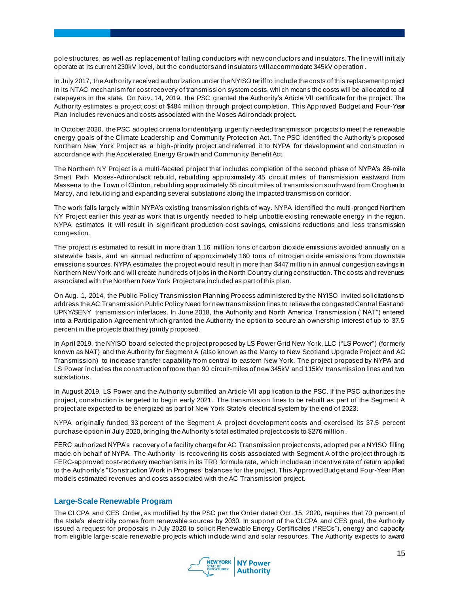pole structures, as well as replacement of failing conductors with new conductors and insulators. The line will initially operate at its current 230kV level, but the conductorsand insulators will accommodate 345kV operation.

In July 2017, the Authority received authorization under the NYISO tariff to include the costs of this replacement project in its NTAC mechanism for cost recovery of transmission system costs, whi ch means the costs will be allocated to all ratepayers in the state. On Nov. 14, 2019, the PSC granted the Authority's Article VII certificate for the project. The Authority estimates a project cost of \$484 million through project completion. This Approved Budget and Four-Year Plan includes revenues and costs associated with the Moses Adirondack project.

In October 2020, the PSC adopted criteria for identifying urgently needed transmission projects to meet the renewable energy goals of the Climate Leadership and Community Protection Act. The PSC identified the Authority's proposed Northern New York Project as a high-priority project and referred it to NYPA for development and construction in accordance with the Accelerated Energy Growth and Community Benefit Act.

The Northern NY Project is a multi-faceted project that includes completion of the second phase o[f NYPA's 86-mile](https://www.governor.ny.gov/news/governor-cuomo-announces-plan-rebuild-78-miles-power-transmission-infrastructure-north-country)  [Smart Path Moses-Adirondack rebuild](https://www.governor.ny.gov/news/governor-cuomo-announces-plan-rebuild-78-miles-power-transmission-infrastructure-north-country), rebuilding approximately 45 circuit miles of transmission eastward from Massena to the Town of Clinton, rebuilding approximately 55 circuit miles of transmission southward from Croghan to Marcy, and rebuilding and expanding several substations along the impacted transmission corridor.

The work falls largely within NYPA's existing transmission rights of way. NYPA identified the multi-pronged Northern NY Project earlier this year as work that is urgently needed to help unbottle existing renewable energy in the region. NYPA estimates it will result in significant production cost savings, emissions reductions and less transmission congestion.

The project is estimated to result in more than 1.16 million tons of carbon dioxide emissions avoided annually on a statewide basis, and an annual reduction of approximately 160 tons of nitrogen oxide emissions from downstate emissions sources. NYPA estimates the project would result in more than \$447 millio n in annual congestion savings in Northern New York and will create hundreds of jobs in the North Country during construction. The costs and revenues associated with the Northern New York Project are included as part of this plan.

On Aug. 1, 2014, the Public Policy Transmission Planning Process administered by the NYISO invited solicitations to address the AC Transmission Public Policy Need for new transmission lines to relieve the congested Central East and UPNY/SENY transmission interfaces. In June 2018, the Authority and North America Transmission ("NAT") entered into a Participation Agreement which granted the Authority the option to secure an ownership interest of up to 37.5 percent in the projects that they jointly proposed.

In April 2019, the NYISO board selected the project proposed by LS Power Grid New York, LLC ("LS Power") (formerly known as NAT) and the Authority for Segment A (also known as the Marcy to New Scotland Upgrade Project and AC Transmission) to increase transfer capability from central to eastern New York. The project proposed by NYPA and LS Power includes the construction of more than 90 circuit-miles of new 345kV and 115kV transmission lines and two substations.

In August 2019, LS Power and the Authority submitted an Article VII app lication to the PSC. If the PSC authorizes the project, construction is targeted to begin early 2021. The transmission lines to be rebuilt as part of the Segment A project are expected to be energized as part of New York State's electrical system by the end of 2023.

NYPA originally funded 33 percent of the Segment A project development costs and exercised its 37.5 percent purchase option in July 2020, bringing the Authority's total estimated project costs to \$276 million .

FERC authorized NYPA's recovery of a facility charge for AC Transmission project costs, adopted per a NYISO filling made on behalf of NYPA. The Authority is recovering its costs associated with Segment A of the project through its FERC-approved cost-recovery mechanisms in its TRR formula rate, which include an incentive rate of return applied to the Authority's "Construction Work in Progress" balances for the project. This Approved Budget and Four-Year Plan models estimated revenues and costs associated with the AC Transmission project.

#### **Large-Scale Renewable Program**

The CLCPA and CES Order, as modified by the PSC per the Order dated Oct. 15, 2020, requires that 70 percent of the state's electricity comes from renewable sources by 2030. In support of the CLCPA and CES goal, the Authority issued a request for proposals in July 2020 to solicit Renewable Energy Certificates ("RECs"), energy and capacity from eligible large-scale renewable projects which include wind and solar resources. The Authority expects to award

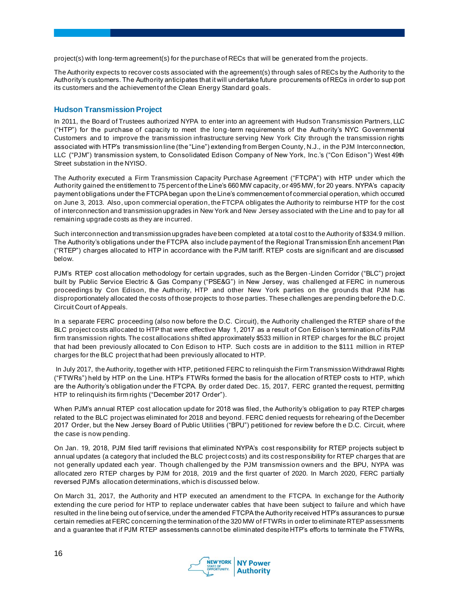project(s) with long-term agreement(s) for the purchase of RECs that will be generated from the projects.

The Authority expects to recover costs associated with the agreement(s) through sales of RECs by the Authority to the Authority's customers. The Authority anticipates that it will undertake future procurements of RECs in order to sup port its customers and the achievement of the Clean Energy Standard goals.

#### **Hudson Transmission Project**

In 2011, the Board of Trustees authorized NYPA to enter into an agreement with Hudson Transmission Partners, LLC ("HTP") for the purchase of capacity to meet the long-term requirements of the Authority's NYC Governmental Customers and to improve the transmission infrastructure serving New York City through the transmission rights associated with HTP's transmission line (the "Line") extending from Bergen County, N.J., in the PJM Interconnection, LLC ("PJM") transmission system, to Consolidated Edison Company of New York, Inc.'s ("Con Edison") West 49th Street substation in the NYISO.

The Authority executed a Firm Transmission Capacity Purchase Agreement ("FTCPA") with HTP under which the Authority gained the entitlement to 75 percent of the Line's 660 MW capacity, or 495 MW, for 20 years. NYPA's capacity payment obligations under the FTCPA began upon the Line's commencement of commercial operation, which occurred on June 3, 2013. Also, upon commercial operation, the FTCPA obligates the Authority to reimburse HTP for the cost of interconnection and transmission upgrades in New York and New Jersey associated with the Line and to pay for all remaining upgrade costs as they are incurred.

Such interconnection and transmission upgrades have been completed at a total cost to the Authority of \$334.9 million. The Authority's obligations under the FTCPA also include payment of the Regional Transmission Enh ancement Plan ("RTEP") charges allocated to HTP in accordance with the PJM tariff. RTEP costs are significant and are discussed below.

PJM's RTEP cost allocation methodology for certain upgrades, such as the Bergen -Linden Corridor ("BLC") project built by Public Service Electric & Gas Company ("PSE&G") in New Jersey, was challenged at FERC in numerous proceedings by Con Edison, the Authority, HTP and other New York parties on the grounds that PJM has disproportionately allocated the costs of those projects to those parties. These challenges are pending before the D.C. Circuit Court of Appeals.

In a separate FERC proceeding (also now before the D.C. Circuit), the Authority challenged the RTEP share of the BLC project costs allocated to HTP that were effective May 1, 2017 as a result of Con Edison's termination of its PJM firm transmission rights. The cost allocations shifted approximately \$533 million in RTEP charges for the BLC project that had been previously allocated to Con Edison to HTP. Such costs are in addition to the \$111 million in RTEP charges for the BLC project that had been previously allocated to HTP.

In July 2017, the Authority, together with HTP, petitioned FERC to relinquish the Firm Transmission Withdrawal Rights ("FTWRs") held by HTP on the Line. HTP's FTWRs formed the basis for the allocation of RTEP costs to HTP, which are the Authority's obligation under the FTCPA. By order dated Dec. 15, 2017, FERC granted the request, permitting HTP to relinquish its firm rights ("December 2017 Order").

When PJM's annual RTEP cost allocation update for 2018 was filed, the Authority's obligation to pay RTEP charges related to the BLC project was eliminated for 2018 and beyond. FERC denied requests for rehearing of the December 2017 Order, but the New Jersey Board of Public Utilities ("BPU") petitioned for review before th e D.C. Circuit, where the case is now pending.

On Jan. 19, 2018, PJM filed tariff revisions that eliminated NYPA's cost responsibility for RTEP projects subject to annual updates (a category that included the BLC project costs) and its cost responsibility for RTEP charges that are not generally updated each year. Though challenged by the PJM transmission owners and the BPU, NYPA was allocated zero RTEP charges by PJM for 2018, 2019 and the first quarter of 2020. In March 2020, FERC partially reversed PJM's allocation determinations, which is discussed below.

On March 31, 2017, the Authority and HTP executed an amendment to the FTCPA. In exchange for the Authority extending the cure period for HTP to replace underwater cables that have been subject to failure and which have resulted in the line being out of service, under the amended FTCPA the Authority received HTP's assurances to pursue certain remedies at FERC concerning the termination of the 320 MW of FTWRs in order to eliminate RTEP assessments and a guarantee that if PJM RTEP assessments cannot be eliminated despite HTP's efforts to terminate the FTWRs,

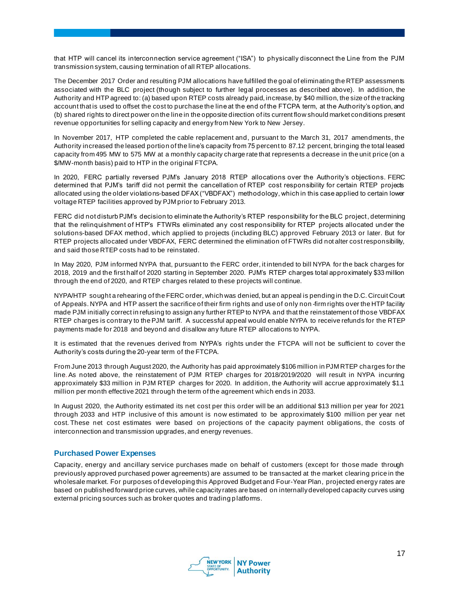that HTP will cancel its interconnection service agreement ("ISA") to physically disconnect the Line from the PJM transmission system, causing termination of all RTEP allocations.

The December 2017 Order and resulting PJM allocations have fulfilled the goal of eliminating the RTEP assessments associated with the BLC project (though subject to further legal processes as described above). In addition, the Authority and HTP agreed to: (a) based upon RTEP costs already paid, increase, by \$40 million, the size of the tracking account that is used to offset the cost to purchase the line at the end of the FTCPA term, at the Authority's option, and (b) shared rights to direct power on the line in the opposite direction of its current flow should market conditions present revenue opportunities for selling capacity and energy from New York to New Jersey.

In November 2017, HTP completed the cable replacement and, pursuant to the March 31, 2017 amendments, the Authority increased the leased portion of the line's capacity from 75 percent to 87.12 percent, bringing the total leased capacity from 495 MW to 575 MW at a monthly capacity charge rate that represents a decrease in the unit price (on a \$/MW-month basis) paid to HTP in the original FTCPA.

In 2020, FERC partially reversed PJM's January 2018 RTEP allocations over the Authority's objections. FERC determined that PJM's tariff did not permit the cancellation of RTEP cost responsibility for certain RTEP projects allocated using the older violations-based DFAX ("VBDFAX") methodology, which in this case applied to certain lower voltage RTEP facilities approved by PJM prior to February 2013.

FERC did not disturb PJM's decision to eliminate the Authority's RTEP responsibility for the BLC project, determining that the relinquishment of HTP's FTWRs eliminated any cost responsibility for RTEP projects allocated under the solutions-based DFAX method, which applied to projects (including BLC) approved February 2013 or later. But for RTEP projects allocated under VBDFAX, FERC determined the elimination of FTWRs did not alter cost responsibility, and said those RTEP costs had to be reinstated.

In May 2020, PJM informed NYPA that, pursuant to the FERC order, it intended to bill NYPA for the back charges for 2018, 2019 and the first half of 2020 starting in September 2020. PJM's RTEP charges total approximately \$33 million through the end of 2020, and RTEP charges related to these projects will continue.

NYPA/HTP sought a rehearing of the FERC order, which was denied, but an appeal is pending in the D.C. Circuit Court of Appeals. NYPA and HTP assert the sacrifice of their firm rights and use of only non -firm rights over the HTP facility made PJM initially correct in refusing to assign any further RTEP to NYPA and that the reinstatement of those VBDFAX RTEP charges is contrary to the PJM tariff. A successful appeal would enable NYPA to receive refunds for the RTEP payments made for 2018 and beyond and disallow any future RTEP allocations to NYPA.

It is estimated that the revenues derived from NYPA's rights under the FTCPA will not be sufficient to cover the Authority's costs during the 20-year term of the FTCPA.

From June 2013 through August 2020, the Authority has paid approximately \$106 million in PJM RTEP charges for the line. As noted above, the reinstatement of PJM RTEP charges for 2018/2019/2020 will result in NYPA incurring approximately \$33 million in PJM RTEP charges for 2020. In addition, the Authority will accrue approximately \$1.1 million per month effective 2021 through the term of the agreement which ends in 2033.

In August 2020, the Authority estimated its net cost per this order will be an additional \$13 million per year for 2021 through 2033 and HTP inclusive of this amount is now estimated to be approximately \$100 million per year net cost. These net cost estimates were based on projections of the capacity payment obligations, the costs of interconnection and transmission upgrades, and energy revenues.

#### **Purchased Power Expenses**

Capacity, energy and ancillary service purchases made on behalf of customers (except for those made through previously approved purchased power agreements) are assumed to be transacted at the market clearing price in the wholesale market. For purposes of developing this Approved Budget and Four-Year Plan, projected energy rates are based on published forward price curves, while capacity rates are based on internally developed capacity curves using external pricing sources such as broker quotes and trading p latforms.

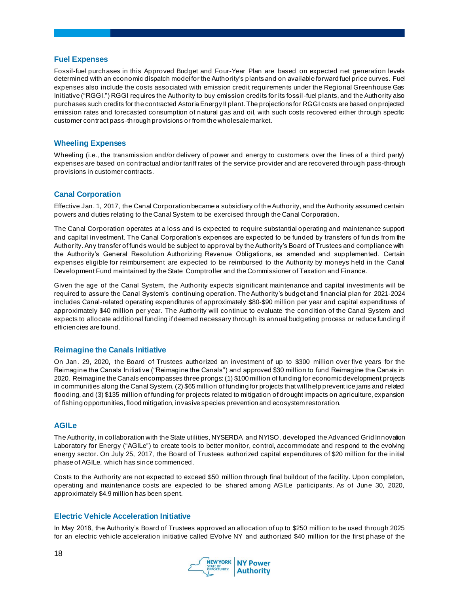#### **Fuel Expenses**

Fossil-fuel purchases in this Approved Budget and Four-Year Plan are based on expected net generation levels determined with an economic dispatch model for the Authority's plants and on available forward fuel price curves. Fuel expenses also include the costs associated with emission credit requirements under the Regional Greenhouse Gas Initiative ("RGGI.") RGGI requires the Authority to buy emission credits for its fossil-fuel plants, and the Authority also purchases such credits for the contracted Astoria Energy II plant. The projections for RGGI costs are based on projected emission rates and forecasted consumption of natural gas and oil, with such costs recovered either through specific customer contract pass-through provisions or from the wholesale market.

#### **Wheeling Expenses**

Wheeling (i.e., the transmission and/or delivery of power and energy to customers over the lines of a third party) expenses are based on contractual and/or tariff rates of the service provider and are recovered through pass-through provisions in customer contracts.

#### **Canal Corporation**

Effective Jan. 1, 2017, the Canal Corporation became a subsidiary of the Authority, and the Authority assumed certain powers and duties relating to the Canal System to be exercised through the Canal Corporation.

The Canal Corporation operates at a loss and is expected to require substantial operating and maintenance support and capital investment. The Canal Corporation's expenses are expected to be funded by transfers of fun ds from the Authority. Any transfer of funds would be subject to approval by the Authority's Board of Trustees and compliance with the Authority's General Resolution Authorizing Revenue Obligations, as amended and supplemented. Certain expenses eligible for reimbursement are expected to be reimbursed to the Authority by moneys held in the Canal Development Fund maintained by the State Comptroller and the Commissioner of Taxation and Finance.

Given the age of the Canal System, the Authority expects significant maintenance and capital investments will be required to assure the Canal System's continuing operation. The Authority's budget and financial plan for 2021-2024 includes Canal-related operating expenditures of approximately \$80-\$90 million per year and capital expenditures of approximately \$40 million per year. The Authority will continue to evaluate the condition of the Canal System and expects to allocate additional funding if deemed necessary through its annual budgeting process or reduce funding if efficiencies are found.

#### **Reimagine the Canals Initiative**

On Jan. 29, 2020, the Board of Trustees authorized an investment of up to \$300 million over five years for the Reimagine the Canals Initiative ("Reimagine the Canals") and approved \$30 million to fund Reimagine the Canals in 2020. Reimagine the Canals encompasses three prongs: (1) \$100 million of funding for economic development projects in communities along the Canal System, (2) \$65 million of funding for projects that will help prevent ice jams and related flooding, and (3) \$135 million of funding for projects related to mitigation of drought impacts on agriculture, expansion of fishing opportunities, flood mitigation, invasive species prevention and ecosystem restoration.

#### **AGILe**

The Authority, in collaboration with the State utilities, NYSERDA and NYISO, developed the Advanced Grid Innovation Laboratory for Energy ("AGILe") to create tools to better monitor, control, accommodate and respond to the evolving energy sector. On July 25, 2017, the Board of Trustees authorized capital expenditures of \$20 million for the initial phase of AGILe, which has since commenced.

Costs to the Authority are not expected to exceed \$50 million through final buildout of the facility. Upon completion, operating and maintenance costs are expected to be shared among AGILe participants. As of June 30, 2020, approximately \$4.9 million has been spent.

#### **Electric Vehicle Acceleration Initiative**

In May 2018, the Authority's Board of Trustees approved an allocation of up to \$250 million to be used through 2025 for an electric vehicle acceleration initiative called EVolve NY and authorized \$40 million for the first phase of the

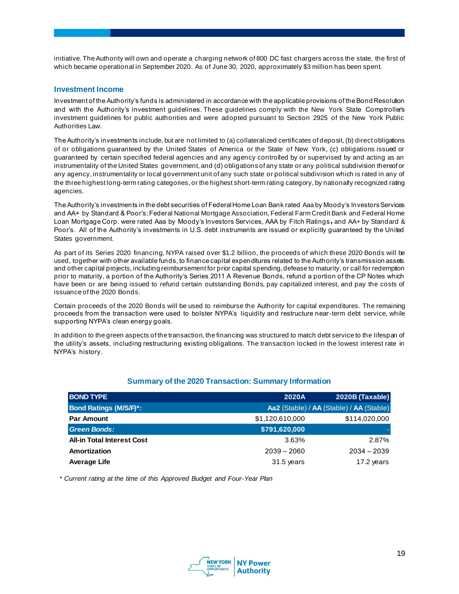initiative. The Authority will own and operate a charging network of 800 DC fast chargers across the state, the first of which became operational in September 2020. As of June 30, 2020, approximately \$3 million has been spent.

#### **Investment Income**

Investment of the Authority's funds is administered in accordance with the applicable provisions of the Bond Resolution and with the Authority's investment guidelines. These guidelines comply with the New York State Comptroller's investment guidelines for public authorities and were adopted pursuant to Section 2925 of the New York Public Authorities Law.

The Authority's investments include, but are not limited to (a) collateralized certificates of deposit, (b) direct obligations of or obligations guaranteed by the United States of America or the State of New York, (c) obligations issued or guaranteed by certain specified federal agencies and any agency controlled by or supervised by and acting as an instrumentality of the United States government, and (d) obligations of any state or any political subdivision thereof or any agency, instrumentality or local government unit of any such state or political subdivision which is rated in any of the three highest long-term rating categories, or the highest short-term rating category, by nationally recognized rating agencies.

The Authority's investments in the debt securities of Federal Home Loan Bank rated Aaa by Moody's Investors Services and AA+ by Standard & Poor's; Federal National Mortgage Association, Federal Farm Credit Bank and Federal Home Loan Mortgage Corp. were rated Aaa by Moody's Investors Services, AAA by Fitch Ratings, and AA+ by Standard & Poor's. All of the Authority's investments in U.S. debt instruments are issued or explicitly guaranteed by the United States government.

As part of its Series 2020 financing, NYPA raised over \$1.2 billion, the proceeds of which these 2020 Bonds will be used, together with other available funds, to finance capital expenditures related to the Authority's transmission assets and other capital projects, including reimbursement for prior capital spending, defease to maturity, or call for redemption prior to maturity, a portion of the Authority's Series 2011 A Revenue Bonds, refund a portion of the CP Notes which have been or are being issued to refund certain outstanding Bonds, pay capitalized interest, and pay the costs of issuance of the 2020 Bonds.

Certain proceeds of the 2020 Bonds will be used to reimburse the Authority for capital expenditures. The remaining proceeds from the transaction were used to bolster NYPA's liquidity and restructure near-term debt service, while supporting NYPA's clean energy goals.

In addition to the green aspects of the transaction, the financing was structured to match debt service to the lifespan of the utility's assets, including restructuring existing obligations. The transaction locked in the lowest interest rate in NYPA's history.

| <b>BOND TYPE</b>                  | 2020A           | 2020B (Taxable)                          |
|-----------------------------------|-----------------|------------------------------------------|
| <b>Bond Ratings (M/S/F)*:</b>     |                 | Aa2 (Stable) / AA (Stable) / AA (Stable) |
| <b>Par Amount</b>                 | \$1,120,610,000 | \$114,020,000                            |
| <b>Green Bonds:</b>               | \$791,620,000   |                                          |
| <b>All-in Total Interest Cost</b> | 3.63%           | 2.87%                                    |
| Amortization                      | $2039 - 2060$   | $2034 - 2039$                            |
| <b>Average Life</b>               | 31.5 years      | 17.2 years                               |

# **Summary of the 2020 Transaction: Summary Information**

*\* Current rating at the time of this Approved Budget and Four-Year Plan*

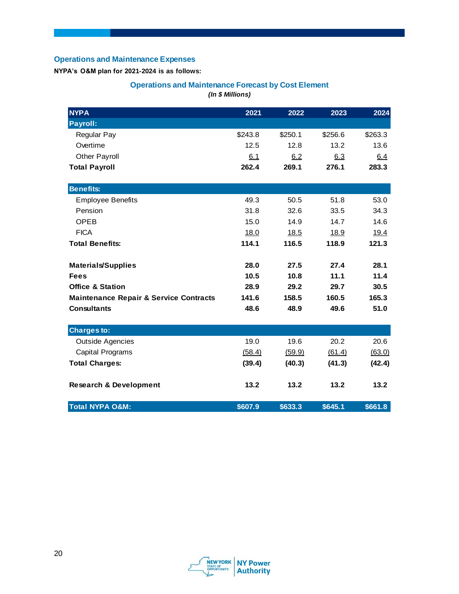# **Operations and Maintenance Expenses**

**NYPA's O&M plan for 2021-2024 is as follows:**

# **Operations and Maintenance Forecast by Cost Element** *(In \$ Millions)*

| <b>NYPA</b>                                       | 2021    | 2022    | 2023    | 2024    |
|---------------------------------------------------|---------|---------|---------|---------|
| Payroll:                                          |         |         |         |         |
| <b>Regular Pay</b>                                | \$243.8 | \$250.1 | \$256.6 | \$263.3 |
| Overtime                                          | 12.5    | 12.8    | 13.2    | 13.6    |
| Other Payroll                                     | 6.1     | 6.2     | 6.3     | 6.4     |
| <b>Total Payroll</b>                              | 262.4   | 269.1   | 276.1   | 283.3   |
| <b>Benefits:</b>                                  |         |         |         |         |
| <b>Employee Benefits</b>                          | 49.3    | 50.5    | 51.8    | 53.0    |
| Pension                                           | 31.8    | 32.6    | 33.5    | 34.3    |
| <b>OPEB</b>                                       | 15.0    | 14.9    | 14.7    | 14.6    |
| <b>FICA</b>                                       | 18.0    | 18.5    | 18.9    | 19.4    |
| <b>Total Benefits:</b>                            | 114.1   | 116.5   | 118.9   | 121.3   |
| <b>Materials/Supplies</b>                         | 28.0    | 27.5    | 27.4    | 28.1    |
| <b>Fees</b>                                       | 10.5    | 10.8    | 11.1    | 11.4    |
| <b>Office &amp; Station</b>                       | 28.9    | 29.2    | 29.7    | 30.5    |
| <b>Maintenance Repair &amp; Service Contracts</b> | 141.6   | 158.5   | 160.5   | 165.3   |
| <b>Consultants</b>                                | 48.6    | 48.9    | 49.6    | 51.0    |
| <b>Charges to:</b>                                |         |         |         |         |
| <b>Outside Agencies</b>                           | 19.0    | 19.6    | 20.2    | 20.6    |
| <b>Capital Programs</b>                           | (58.4)  | (59.9)  | (61.4)  | (63.0)  |
| <b>Total Charges:</b>                             | (39.4)  | (40.3)  | (41.3)  | (42.4)  |
| <b>Research &amp; Development</b>                 | 13.2    | 13.2    | 13.2    | 13.2    |
| <b>Total NYPA O&amp;M:</b>                        | \$607.9 | \$633.3 | \$645.1 | \$661.8 |

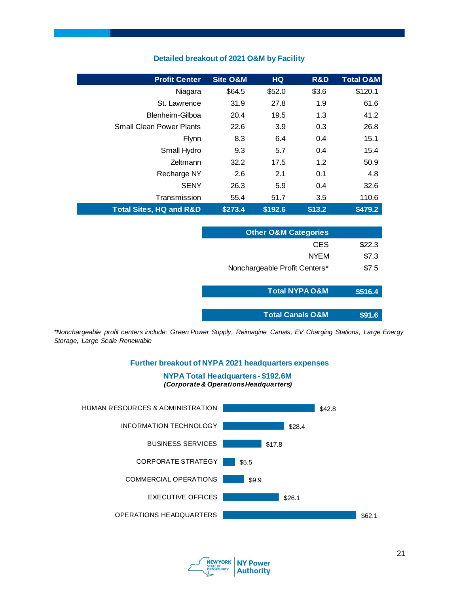| <b>Profit Center</b>               | <b>Site O&amp;M</b> | <b>HQ</b> | R&D    | <b>Total O&amp;M</b> |
|------------------------------------|---------------------|-----------|--------|----------------------|
| Niagara                            | \$64.5              | \$52.0    | \$3.6  | \$120.1              |
| St. Lawrence                       | 31.9                | 27.8      | 1.9    | 61.6                 |
| Blenheim-Gilboa                    | 20.4                | 19.5      | 1.3    | 41.2                 |
| <b>Small Clean Power Plants</b>    | 22.6                | 3.9       | 0.3    | 26.8                 |
| Flynn                              | 8.3                 | 6.4       | 0.4    | 15.1                 |
| Small Hydro                        | 9.3                 | 5.7       | 0.4    | 15.4                 |
| Zeltmann                           | 32.2                | 17.5      | 1.2    | 50.9                 |
| Recharge NY                        | 2.6                 | 2.1       | 0.1    | 4.8                  |
| <b>SENY</b>                        | 26.3                | 5.9       | 0.4    | 32.6                 |
| Transmission                       | 55.4                | 51.7      | 3.5    | 110.6                |
| <b>Total Sites, HQ and R&amp;D</b> | \$273.4             | \$192.6   | \$13.2 | \$479.2              |

# **Detailed breakout of 2021 O&M by Facility**

| <b>Other O&amp;M Categories</b> |         |
|---------------------------------|---------|
| CES                             | \$22.3  |
| <b>NYEM</b>                     | \$7.3   |
| Nonchargeable Profit Centers*   | \$7.5   |
|                                 |         |
| <b>Total NYPA O&amp;M</b>       | \$516.4 |
|                                 |         |
| <b>Total Canals O&amp;M</b>     | \$91.6  |

*\*Nonchargeable profit centers include: Green Power Supply, Reimagine Canals, EV Charging Stations, Large Energy Storage, Large Scale Renewable*

#### **Further breakout of NYPA 2021 headquarters expenses**

#### **NYPA Total Headquarters - \$192.6M** *(Corporate & Operations Headquarters)*



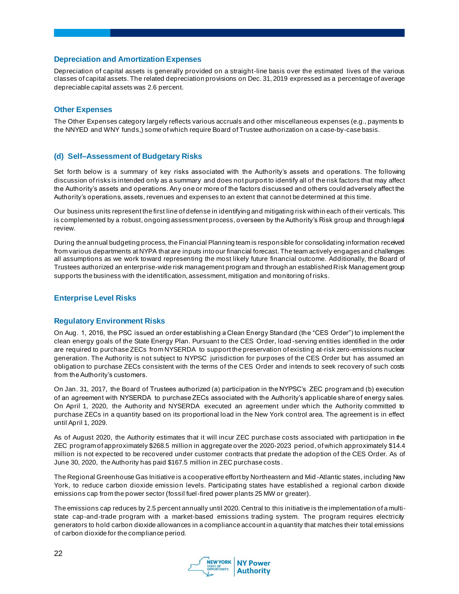#### **Depreciation and Amortization Expenses**

Depreciation of capital assets is generally provided on a straight-line basis over the estimated lives of the various classes of capital assets. The related depreciation provisions on Dec. 31, 2019 expressed as a percentage of average depreciable capital assets was 2.6 percent.

#### **Other Expenses**

The Other Expenses category largely reflects various accruals and other miscellaneous expenses (e.g., payments to the NNYED and WNY funds,) some of which require Board of Trustee authorization on a case-by-case basis.

#### **(d) Self–Assessment of Budgetary Risks**

Set forth below is a summary of key risks associated with the Authority's assets and operations. The following discussion of risks is intended only as a summary and does not purport to identify all of the risk factors that may affect the Authority's assets and operations. Any one or more of the factors discussed and others could adversely affect the Authority's operations, assets, revenues and expenses to an extent that cannot be determined at this time.

Our business units represent the first line of defense in identifying and mitigating risk within each of their verticals. This is complemented by a robust, ongoing assessment process, overseen by the Authority's Risk group and through legal review.

During the annual budgeting process, the Financial Planning team is responsible for consolidating information received from various departments at NYPA that are inputs into our financial forecast. The team actively engages and challenges all assumptions as we work toward representing the most likely future financial outcome. Additionally, the Board of Trustees authorized an enterprise-wide risk management program and through an established Risk Management group supports the business with the identification, assessment, mitigation and monitoring of risks.

#### **Enterprise Level Risks**

#### **Regulatory Environment Risks**

On Aug. 1, 2016, the PSC issued an order establishing a Clean Energy Standard (the "CES Order") to implement the clean energy goals of the State Energy Plan. Pursuant to the CES Order, load -serving entities identified in the order are required to purchase ZECs from NYSERDA to support the preservation of existing at-risk zero-emissions nuclear generation. The Authority is not subject to NYPSC jurisdiction for purposes of the CES Order but has assumed an obligation to purchase ZECs consistent with the terms of the CES Order and intends to seek recovery of such costs from the Authority's customers.

On Jan. 31, 2017, the Board of Trustees authorized (a) participation in the NYPSC's ZEC program and (b) execution of an agreement with NYSERDA to purchase ZECs associated with the Authority's applicable share of energy sales. On April 1, 2020, the Authority and NYSERDA executed an agreement under which the Authority committed to purchase ZECs in a quantity based on its proportional load in the New York control area. The agreement is in effect until April 1, 2029.

As of August 2020, the Authority estimates that it will incur ZEC purchase costs associated with participation in the ZEC program of approximately \$268.5 million in aggregate over the 2020-2023 period, of which approximately \$14.4 million is not expected to be recovered under customer contracts that predate the adoption of the CES Order. As of June 30, 2020, the Authority has paid \$167.5 million in ZEC purchase costs .

The Regional Greenhouse Gas Initiative is a cooperative effort by Northeastern and Mid -Atlantic states, including New York, to reduce carbon dioxide emission levels. Participating states have established a regional carbon dioxide emissions cap from the power sector (fossil fuel-fired power plants 25 MW or greater).

The emissions cap reduces by 2.5 percent annually until 2020. Central to this initiative is the implementation of a multistate cap-and-trade program with a market-based emissions trading system. The program requires electricity generators to hold carbon dioxide allowances in a compliance account in a quantity that matches their total emissions of carbon dioxide for the compliance period.

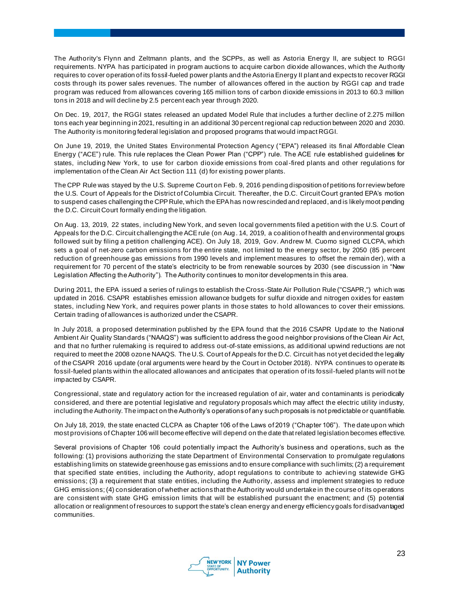The Authority's Flynn and Zeltmann plants, and the SCPPs, as well as Astoria Energy II, are subject to RGGI requirements. NYPA has participated in program auctions to acquire carbon dioxide allowances, which the Authority requires to cover operation of its fossil-fueled power plants and the Astoria Energy II plant and expects to recover RGGI costs through its power sales revenues. The number of allowances offered in the auction by RGGI cap and trade program was reduced from allowances covering 165 million tons of carbon dioxide emissions in 2013 to 60.3 million tons in 2018 and will decline by 2.5 percent each year through 2020.

On Dec. 19, 2017, the RGGI states released an updated Model Rule that includes a further decline of 2.275 million tons each year beginning in 2021, resulting in an additional 30 percent regional cap reduction between 2020 and 2030. The Authority is monitoring federal legislation and proposed programs that would impact RGGI.

On June 19, 2019, the United States Environmental Protection Agency ("EPA") released its final Affordable Clean Energy ("ACE") rule. This rule replaces the Clean Power Plan ("CPP") rule. The ACE rule established guidelines for states, including New York, to use for carbon dioxide emissions from coal-fired plants and other regulations for implementation of the Clean Air Act Section 111 (d) for existing power plants.

The CPP Rule was stayed by the U.S. Supreme Court on Feb. 9, 2016 pending disposition of petitions for review before the U.S. Court of Appeals for the District of Columbia Circuit. Thereafter, the D.C. Circuit Court granted EPA's motion to suspend cases challenging the CPP Rule, which the EPA has now rescinded and replaced, and is likely moot pending the D.C. Circuit Court formally ending the litigation.

On Aug. 13, 2019, 22 states, including New York, and seven local governments filed a petition with the U.S. Court of Appeals for the D.C. Circuit challenging the ACE rule (on Aug . 14, 2019, a coalition of health and environmental groups followed suit by filing a petition challenging ACE). On July 18, 2019, Gov. Andrew M. Cuomo signed CLCPA, which sets a goal of net-zero carbon emissions for the entire state, not limited to the energy sector, by 2050 (85 percent reduction of greenhouse gas emissions from 1990 levels and implement measures to offset the remain der), with a requirement for 70 percent of the state's electricity to be from renewable sources by 2030 (see discussion in "New Legislation Affecting the Authority"). The Authority continues to monitor developments in this area.

During 2011, the EPA issued a series of rulings to establish the Cross-State Air Pollution Rule ("CSAPR,") which was updated in 2016. CSAPR establishes emission allowance budgets for sulfur dioxide and nitrogen oxides for eastern states, including New York, and requires power plants in those states to hold allowances to cover their emissions. Certain trading of allowances is authorized under the CSAPR.

In July 2018, a proposed determination published by the EPA found that the 2016 CSAPR Update to the National Ambient Air Quality Standards ("NAAQS") was sufficient to address the good neighbor provisions of the Clean Air Act, and that no further rulemaking is required to address out-of-state emissions, as additional upwind reductions are not required to meet the 2008 ozone NAAQS. The U.S. Court of Appeals for the D.C. Circuit has not yet decided the legality of the CSAPR 2016 update (oral arguments were heard by the Court in October 2018). NYPA continues to operate its fossil-fueled plants within the allocated allowances and anticipates that operation of its fossil-fueled plants will not be impacted by CSAPR.

Congressional, state and regulatory action for the increased regulation of air, water and contaminants is periodically considered, and there are potential legislative and regulatory proposals which may affect the electric utility industry, including the Authority. The impact on the Authority's operations of any such proposals is not predictable or quantifiable.

On July 18, 2019, the state enacted CLCPA as Chapter 106 of the Laws of 2019 ("Chapter 106"). The date upon which most provisions of Chapter 106 will become effective will depend on the date that related legislation becomes effective.

Several provisions of Chapter 106 could potentially impact the Authority's business and operations, such as the following: (1) provisions authorizing the state Department of Environmental Conservation to promulgate regulations establishing limits on statewide greenhouse gas emissions and to ensure compliance with such limits; (2) a requirement that specified state entities, including the Authority, adopt regulations to contribute to achievi ng statewide GHG emissions; (3) a requirement that state entities, including the Authority, assess and implement strategies to reduce GHG emissions; (4) consideration of whether actions that the Authority would undertake in the course of its operations are consistent with state GHG emission limits that will be established pursuant the enactment; and (5) potential allocation or realignment of resources to support the state's clean energy and energy efficiency goals for disadvantaged communities.

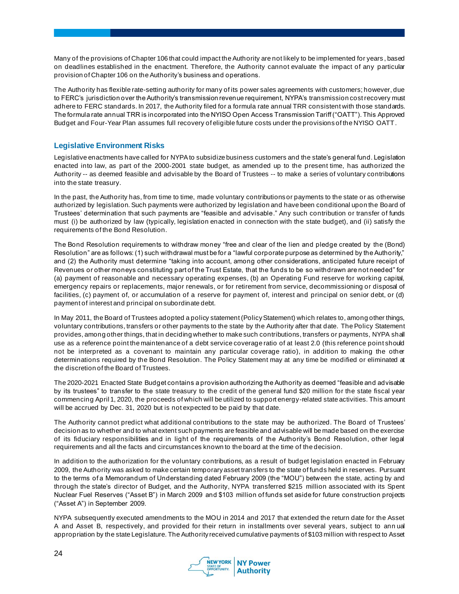Many of the provisions of Chapter 106 that could impact the Authority are not likely to be implemented for years , based on deadlines established in the enactment. Therefore, the Authority cannot evaluate the impact of any particular provision of Chapter 106 on the Authority's business and operations.

The Authority has flexible rate-setting authority for many of its power sales agreements with customers; however, due to FERC's jurisdiction over the Authority's transmission revenue requirement, NYPA's transmission cost recovery must adhere to FERC standards. In 2017, the Authority filed for a formula rate annual TRR consistent with those standards. The formula rate annual TRR is incorporated into the NYISO Open Access Transmission Tariff ("OATT"). This Approved Budget and Four-Year Plan assumes full recovery of eligible future costs under the provisions of the NYISO OATT.

#### **Legislative Environment Risks**

Legislative enactments have called for NYPA to subsidize business customers and the state's general fund. Legislation enacted into law, as part of the 2000-2001 state budget, as amended up to the present time, has authorized the Authority -- as deemed feasible and advisable by the Board of Trustees -- to make a series of voluntary contributions into the state treasury.

In the past, the Authority has, from time to time, made voluntary contributions or payments to the state or as otherwise authorized by legislation. Such payments were authorized by legislation and have been conditional upon the Board of Trustees' determination that such payments are "feasible and advisable." Any such contribution or transfer of funds must (i) be authorized by law (typically, legislation enacted in connection with the state budget), and (ii) satisfy the requirements of the Bond Resolution.

The Bond Resolution requirements to withdraw money "free and clear of the lien and pledge created by the (Bond) Resolution" are as follows: (1) such withdrawal must be for a "lawful corporate purpose as determined by the Authority," and (2) the Authority must determine "taking into account, among other considerations, anticipated future receipt of Revenues or other moneys constituting part of the Trust Estate, that the funds to be so withdrawn are not needed" for (a) payment of reasonable and necessary operating expenses, (b) an Operating Fund reserve for working capital, emergency repairs or replacements, major renewals, or for retirement from service, decommissioning or disposal of facilities, (c) payment of, or accumulation of a reserve for payment of, interest and principal on senior debt, or (d) payment of interest and principal on subordinate debt.

In May 2011, the Board of Trustees adopted a policy statement (Policy Statement) which relates to, among other things, voluntary contributions, transfers or other payments to the state by the Authority after that date. The Policy Statement provides, among other things, that in deciding whether to make such contributions, transfers or payments, NYPA shall use as a reference point the maintenance of a debt service coverage ratio of at least 2.0 (this reference point should not be interpreted as a covenant to maintain any particular coverage ratio), in addition to making the other determinations required by the Bond Resolution. The Policy Statement may at any time be modified or eliminated at the discretion of the Board of Trustees.

The 2020-2021 Enacted State Budget contains a provision authorizing the Authority as deemed "feasible and advisable by its trustees" to transfer to the state treasury to the credit of the general fund \$20 million for the state fiscal year commencing April 1, 2020, the proceeds of which will be utilized to support energy-related state activities. This amount will be accrued by Dec. 31, 2020 but is not expected to be paid by that date.

The Authority cannot predict what additional contributions to the state may be authorized. The Board of Trustees' decision as to whether and to what extent such payments are feasible and advisable will be made based on the exercise of its fiduciary responsibilities and in light of the requirements of the Authority's Bond Resolution, other legal requirements and all the facts and circumstances known to the board at the time of the decision.

In addition to the authorization for the voluntary contributions, as a result of budget legislation enacted in February 2009, the Authority was asked to make certain temporary asset transfers to the state of funds held in reserves. Pursuant to the terms of a Memorandum of Understanding dated February 2009 (the "MOU") between the state, acting by and through the state's director of Budget, and the Authority, NYPA transferred \$215 million associated with its Spent Nuclear Fuel Reserves ("Asset B") in March 2009 and \$103 million of funds set aside for future construction projects ("Asset A") in September 2009.

NYPA subsequently executed amendments to the MOU in 2014 and 2017 that extended the return date for the Asset A and Asset B, respectively, and provided for their return in installments over several years, subject to ann ual appropriation by the state Legislature. The Authority received cumulative payments of \$103 million with respect to Asset

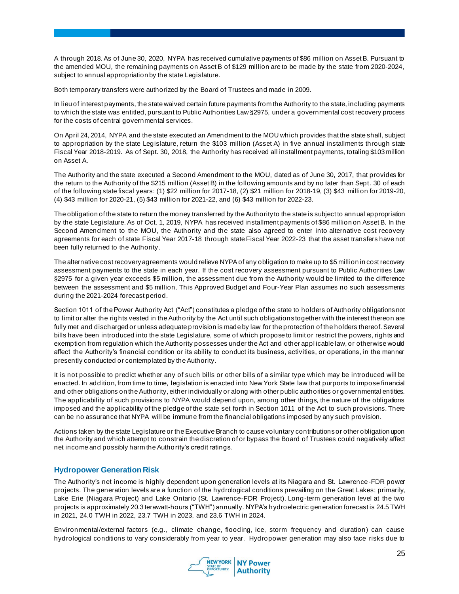A through 2018. As of June 30, 2020, NYPA has received cumulative payments of \$86 million on Asset B. Pursuant to the amended MOU, the remaining payments on Asset B of \$129 million are to be made by the state from 2020-2024, subject to annual appropriation by the state Legislature.

Both temporary transfers were authorized by the Board of Trustees and made in 2009.

In lieu of interest payments, the state waived certain future payments from the Authority to the state, including payments to which the state was entitled, pursuant to Public Authorities Law §2975, under a governmental cost recovery process for the costs of central governmental services.

On April 24, 2014, NYPA and the state executed an Amendment to the MOU which provides that the state shall, subject to appropriation by the state Legislature, return the \$103 million (Asset A) in five annual installments through state Fiscal Year 2018-2019. As of Sept. 30, 2018, the Authority has received all installment payments, totaling \$103 million on Asset A.

The Authority and the state executed a Second Amendment to the MOU, dated as of June 30, 2017, that provides for the return to the Authority of the \$215 million (Asset B) in the following amounts and by no later than Sept. 30 of each of the following state fiscal years: (1) \$22 million for 2017-18, (2) \$21 million for 2018-19, (3) \$43 million for 2019-20, (4) \$43 million for 2020-21, (5) \$43 million for 2021-22, and (6) \$43 million for 2022-23.

The obligation of the state to return the money transferred by the Authority to the state is subject to annual appropriation by the state Legislature. As of Oct. 1, 2019, NYPA has received installment payments of \$86 million on Asset B. In the Second Amendment to the MOU, the Authority and the state also agreed to enter into alternative cost recovery agreements for each of state Fiscal Year 2017-18 through state Fiscal Year 2022-23 that the asset transfers have not been fully returned to the Authority.

The alternative cost recovery agreements would relieve NYPA of any obligation to make up to \$5 million in cost recovery assessment payments to the state in each year. If the cost recovery assessment pursuant to Public Authorities Law §2975 for a given year exceeds \$5 million, the assessment due from the Authority would be limited to the difference between the assessment and \$5 million. This Approved Budget and Four-Year Plan assumes no such assessments during the 2021-2024 forecast period.

Section 1011 of the Power Authority Act ("Act") constitutes a pledge of the state to holders of Authority obligations not to limit or alter the rights vested in the Authority by the Act until such obligations together with the interest thereon are fully met and discharged or unless adequate provision is made by law for the protection of the holders thereof. Several bills have been introduced into the state Legislature, some of which propose to limit or restrict the powers, rights and exemption from regulation which the Authority possesses under the Act and other appl icable law, or otherwise would affect the Authority's financial condition or its ability to conduct its business, activities, or operations, in the manner presently conducted or contemplated by the Authority.

It is not possible to predict whether any of such bills or other bills of a similar type which may be introduced will be enacted. In addition, from time to time, legislation is enacted into New York State law that purports to impose financial and other obligations on the Authority, either individually or along with other public authorities or governmental entities. The applicability of such provisions to NYPA would depend upon, among other things, the nature of the obligations imposed and the applicability of the pledge of the state set forth in Section 1011 of the Act to such provisions. There can be no assurance that NYPA will be immune from the financial obligations imposed by any such provision.

Actions taken by the state Legislature or the Executive Branch to cause voluntary contributions or other obligation upon the Authority and which attempt to constrain the discretion of or bypass the Board of Trustees could negatively affect net income and possibly harm the Authority's credit ratings.

# **Hydropower Generation Risk**

The Authority's net income is highly dependent upon generation levels at its Niagara and St. Lawrence-FDR power projects. The generation levels are a function of the hydrological conditions prevailing on the Great Lakes; primarily, Lake Erie (Niagara Project) and Lake Ontario (St. Lawrence-FDR Project). Long-term generation level at the two projects is approximately 20.3 terawatt-hours ("TWH") annually. NYPA's hydroelectric generation forecast is 24.5 TWH in 2021, 24.0 TWH in 2022, 23.7 TWH in 2023, and 23.6 TWH in 2024.

Environmental/external factors (e.g., climate change, flooding, ice, storm frequency and duration) can cause hydrological conditions to vary considerably from year to year. Hydropower generation may also face risks due to

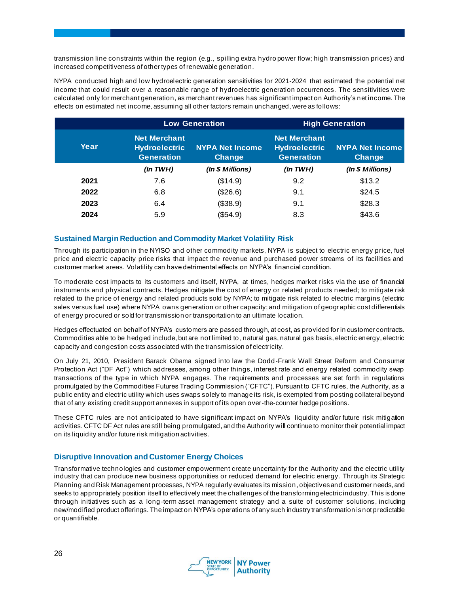transmission line constraints within the region (e.g., spilling extra hydro power flow; high transmission prices) and increased competitiveness of other types of renewable generation.

NYPA conducted high and low hydroelectric generation sensitivities for 2021-2024 that estimated the potential net income that could result over a reasonable range of hydroelectric generation occurrences. The sensitivities were calculated only for merchant generation, as merchant revenues has significant impact on Authority's net income. The effects on estimated net income, assuming all other factors remain unchanged, were as follows:

|      |                                                                  | <b>Low Generation</b>            |                                                                  | <b>High Generation</b>           |
|------|------------------------------------------------------------------|----------------------------------|------------------------------------------------------------------|----------------------------------|
| Year | <b>Net Merchant</b><br><b>Hydroelectric</b><br><b>Generation</b> | <b>NYPA Net Income</b><br>Change | <b>Net Merchant</b><br><b>Hydroelectric</b><br><b>Generation</b> | <b>NYPA Net Income</b><br>Change |
|      | (ln TWH)                                                         | (In $$$ Millions)                | (ln TWH)                                                         | (In $$$ Millions)                |
| 2021 | 7.6                                                              | (\$14.9)                         | 9.2                                                              | \$13.2                           |
| 2022 | 6.8                                                              | (\$26.6)                         | 9.1                                                              | \$24.5                           |
| 2023 | 6.4                                                              | (\$38.9)                         | 9.1                                                              | \$28.3                           |
| 2024 | 5.9                                                              | (\$54.9)                         | 8.3                                                              | \$43.6                           |

#### **Sustained Margin Reduction and Commodity Market Volatility Risk**

Through its participation in the NYISO and other commodity markets, NYPA is subject to electric energy price, fuel price and electric capacity price risks that impact the revenue and purchased power streams of its facilities and customer market areas. Volatility can have detrimental effects on NYPA's financial condition.

To moderate cost impacts to its customers and itself, NYPA, at times, hedges market risks via the use of financial instruments and physical contracts. Hedges mitigate the cost of energy or related products needed; to mitigate risk related to the price of energy and related products sold by NYPA; to mitigate risk related to electric margins (electric sales versus fuel use) where NYPA owns generation or other capacity; and mitigation of geogr aphic cost differentials of energy procured or sold for transmission or transportation to an ultimate location.

Hedges effectuated on behalf of NYPA's customers are passed through, at cost, as provided for in customer contracts. Commodities able to be hedged include, but are not limited to, natural gas, natural gas basis, electric energy, electric capacity and congestion costs associated with the transmission of electricity.

On July 21, 2010, President Barack Obama signed into law the Dodd-Frank Wall Street Reform and Consumer Protection Act ("DF Act") which addresses, among other things, interest rate and energy related commodity swap transactions of the type in which NYPA engages. The requirements and processes are set forth in regulations promulgated by the Commodities Futures Trading Commission ("CFTC"). Pursuant to CFTC rules, the Authority, as a public entity and electric utility which uses swaps solely to manage its risk, is exempted from posting collateral beyond that of any existing credit support annexes in support of its open over-the-counter hedge positions.

These CFTC rules are not anticipated to have significant impact on NYPA's liquidity and/or future risk mitigation activities. CFTC DF Act rules are still being promulgated, and the Authority will continue to monitor their potential impact on its liquidity and/or future risk mitigation activities.

# **Disruptive Innovation and Customer Energy Choices**

Transformative technologies and customer empowerment create uncertainty for the Authority and the electric utility industry that can produce new business opportunities or reduced demand for electric energy. Through its Strategic Planning and Risk Management processes, NYPA regularly evaluates its mission, objectives and customer needs, and seeks to appropriately position itself to effectively meet the challenges of the transforming electric industry. This is done through initiatives such as a long-term asset management strategy and a suite of customer solutions , including new/modified product offerings. The impact on NYPA's operations of any such industry transformation is not predictable or quantifiable.

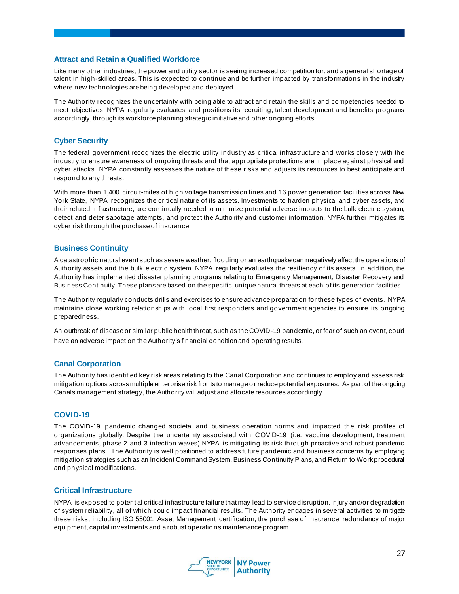#### **Attract and Retain a Qualified Workforce**

Like many other industries, the power and utility sector is seeing increased competition for, and a general shortage of, talent in high-skilled areas. This is expected to continue and be further impacted by transformations in the industry where new technologies are being developed and deployed.

The Authority recognizes the uncertainty with being able to attract and retain the skills and competencies needed to meet objectives. NYPA regularly evaluates and positions its recruiting, talent development and benefits programs accordingly, through its workforce planning strategic initiative and other ongoing efforts.

#### **Cyber Security**

The federal government recognizes the electric utility industry as critical infrastructure and works closely with the industry to ensure awareness of ongoing threats and that appropriate protections are in place against physical and cyber attacks. NYPA constantly assesses the nature of these risks and adjusts its resources to best anticipate and respond to any threats.

With more than 1,400 circuit-miles of high voltage transmission lines and 16 power generation facilities across New York State, NYPA recognizes the critical nature of its assets. Investments to harden physical and cyber assets, and their related infrastructure, are continually needed to minimize potential adverse impacts to the bulk electric system, detect and deter sabotage attempts, and protect the Autho rity and customer information. NYPA further mitigates its cyber risk through the purchase of insurance.

#### **Business Continuity**

A catastrophic natural event such as severe weather, flooding or an earthquake can negatively affect the operations of Authority assets and the bulk electric system. NYPA regularly evaluates the resiliency of its assets. In addition, the Authority has implemented disaster planning programs relating to Emergency Management, Disaster Recovery and Business Continuity. These plans are based on the specific, unique natural threats at each of its generation facilities.

The Authority regularly conducts drills and exercises to ensure advance preparation for these types of events. NYPA maintains close working relationships with local first responders and government agencies to ensure its ongoing preparedness.

An outbreak of disease or similar public health threat, such as the COVID-19 pandemic, or fear of such an event, could have an adverse impact on the Authority's financial condition and operating results.

#### **Canal Corporation**

The Authority has identified key risk areas relating to the Canal Corporation and continues to employ and assess risk mitigation options across multiple enterprise risk fronts to manage o r reduce potential exposures. As part of the ongoing Canals management strategy, the Authority will adjust and allocate resources accordingly.

#### **COVID-19**

The COVID-19 pandemic changed societal and business operation norms and impacted the risk profiles of organizations globally. Despite the uncertainty associated with COVID-19 (i.e. vaccine development, treatment advancements, phase 2 and 3 infection waves) NYPA is mitigating its risk through proactive and robust pandemic responses plans. The Authority is well positioned to address future pandemic and business concerns by employing mitigation strategies such as an Incident Command System, Business Continuity Plans, and Return to Work procedural and physical modifications.

#### **Critical Infrastructure**

NYPA is exposed to potential critical infrastructure failure that may lead to service disruption, injury and/or degradation of system reliability, all of which could impact financial results. The Authority engages in several activities to mitigate these risks, including ISO 55001 Asset Management certification, the purchase of insurance, redundancy of major equipment, capital investments and a robust operatio ns maintenance program.

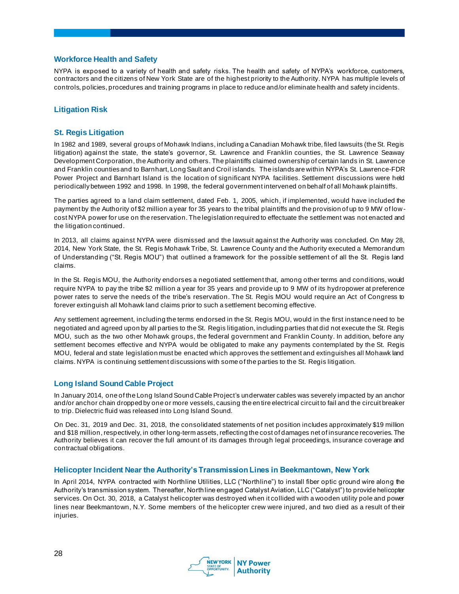#### **Workforce Health and Safety**

NYPA is exposed to a variety of health and safety risks. The health and safety of NYPA's workforce, customers, contractors and the citizens of New York State are of the highest priority to the Authority. NYPA has multiple levels of controls, policies, procedures and training programs in place to reduce and/or eliminate health and safety incidents.

#### **Litigation Risk**

#### **St. Regis Litigation**

In 1982 and 1989, several groups of Mohawk Indians, including a Canadian Mohawk tribe, filed lawsuits (the St. Regis litigation) against the state, the state's governor, St. Lawrence and Franklin counties, the St. Lawrence Seaway Development Corporation, the Authority and others. The plaintiffs claimed ownership of certain lands in St. Lawrence and Franklin counties and to Barnhart, Long Sault and Croil islands. The islands are within NYPA's St. Lawrence-FDR Power Project and Barnhart Island is the location of significant NYPA facilities. Settlement discussions were held periodically between 1992 and 1998. In 1998, the federal government intervened on behalf of all Mohawk plaintiffs.

The parties agreed to a land claim settlement, dated Feb. 1, 2005, which, if implemented, would have included the payment by the Authority of \$2 million a year for 35 years to the tribal plaintiffs and the provision of up to 9 MW of lowcost NYPA power for use on the reservation. The legislation required to effectuate the settlement was not enacted and the litigation continued.

In 2013, all claims against NYPA were dismissed and the lawsuit against the Authority was concluded. On May 28, 2014, New York State, the St. Regis Mohawk Tribe, St. Lawrence County and the Authority executed a Memorandum of Understanding ("St. Regis MOU") that outlined a framework for the possible settlement of all the St. Regis land claims.

In the St. Regis MOU, the Authority endorses a negotiated settlement that, among other terms and conditions, would require NYPA to pay the tribe \$2 million a year for 35 years and provide up to 9 MW of its hydropower at preference power rates to serve the needs of the tribe's reservation. The St. Regis MOU would require an Act of Congress to forever extinguish all Mohawk land claims prior to such a settlement becoming effective.

Any settlement agreement, including the terms endorsed in the St. Regis MOU, would in the first instance need to be negotiated and agreed upon by all parties to the St. Regis litigation, including parties that did not execute the St. Regis MOU, such as the two other Mohawk groups, the federal government and Franklin County. In addition, before any settlement becomes effective and NYPA would be obligated to make any payments contemplated by the St. Regis MOU, federal and state legislation must be enacted which approves the settlement and extinguishes all Mohawk land claims. NYPA is continuing settlement discussions with some o f the parties to the St. Regis litigation.

#### **Long Island Sound Cable Project**

In January 2014, one of the Long Island Sound Cable Project's underwater cables was severely impacted by an anchor and/or anchor chain dropped by one or more vessels, causing the en tire electrical circuit to fail and the circuit breaker to trip. Dielectric fluid was released into Long Island Sound.

On Dec. 31, 2019 and Dec. 31, 2018, the consolidated statements of net position includes approximately \$19 million and \$18 million, respectively, in other long-term assets, reflecting the cost of damages net of insurance recoveries. The Authority believes it can recover the full amount of its damages through legal proceedings, insurance coverage and contractual obligations.

#### **Helicopter Incident Near the Authority's Transmission Lines in Beekmantown, New York**

In April 2014, NYPA contracted with Northline Utilities, LLC ("Northline") to install fiber optic ground wire along the Authority's transmission system. Thereafter, Northline engaged Catalyst Aviation, LLC ("Catalyst") to provide helicopter services. On Oct. 30, 2018, a Catalyst helicopter was destroyed when it collided with a wooden utility pole and power lines near Beekmantown, N.Y. Some members of the helicopter crew were injured, and two died as a result of their injuries.

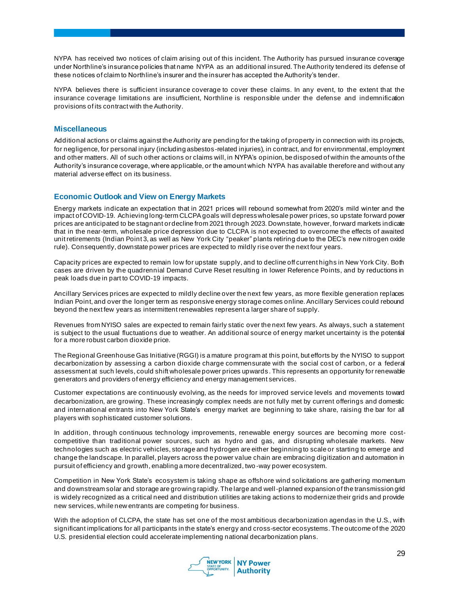NYPA has received two notices of claim arising out of this incident. The Authority has pursued insurance coverage under Northline's insurance policies that name NYPA as an additional insured. The Authority tendered its defense of these notices of claim to Northline's insurer and the insurer has accepted the Authority's tender.

NYPA believes there is sufficient insurance coverage to cover these claims. In any event, to the extent that the insurance coverage limitations are insufficient, Northline is responsible under the defense and indemnification provisions of its contract with the Authority.

#### **Miscellaneous**

Additional actions or claims against the Authority are pending for the taking of property in connection with its projects, for negligence, for personal injury (including asbestos-related injuries), in contract, and for environmental, employment and other matters. All of such other actions or claims will, in NYPA's opinion, be disposed of within the amounts of the Authority's insurance coverage, where applicable, or the amount which NYPA has available therefore and without any material adverse effect on its business.

#### **Economic Outlook and View on Energy Markets**

Energy markets indicate an expectation that in 2021 prices will rebound somewhat from 2020's mild winter and the impact of COVID-19. Achieving long-term CLCPA goals will depress wholesale power prices, so upstate forward power prices are anticipated to be stagnant or decline from 2021 through 2023. Downstate, however, forward markets indicate that in the near-term, wholesale price depression due to CLCPA is not expected to overcome the effects of awaited unit retirements (Indian Point 3, as well as New York City "peaker" plants retiring due to the DEC's new nitrogen oxide rule). Consequently, downstate power prices are expected to mildly rise over the next four years.

Capacity prices are expected to remain low for upstate supply, and to decline off current highs in New York City. Both cases are driven by the quadrennial Demand Curve Reset resulting in lower Reference Points, and by reductions in peak loads due in part to COVID-19 impacts.

Ancillary Services prices are expected to mildly decline over the next few years, as more flexible generation replaces Indian Point, and over the longer term as responsive energy storage comes online. Ancillary Services could rebound beyond the next few years as intermittent renewables represent a larger share of supply.

Revenues from NYISO sales are expected to remain fairly static over the next few years. As always, such a statement is subject to the usual fluctuations due to weather. An additional source of energy market uncertainty is the potential for a more robust carbon dioxide price.

The Regional Greenhouse Gas Initiative (RGGI) is a mature program at this point, but efforts by the NYISO to support decarbonization by assessing a carbon dioxide charge commensurate with the social cost of carbon, or a federal assessment at such levels, could shift wholesale power prices upwards . This represents an opportunity for renewable generators and providers of energy efficiency and energy management services.

Customer expectations are continuously evolving, as the needs for improved service levels and movements toward decarbonization, are growing. These increasingly complex needs are not fully met by current offerings and domestic and international entrants into New York State's energy market are beginning to take share, raising the bar for all players with sophisticated customer solutions.

In addition, through continuous technology improvements, renewable energy sources are becoming more costcompetitive than traditional power sources, such as hydro and gas, and disrupting wholesale markets. New technologies such as electric vehicles, storage and hydrogen are either beginning to scale or starting to emerge and change the landscape. In parallel, players across the power value chain are embracing digitization and automation in pursuit of efficiency and growth, enabling a more decentralized, two -way power ecosystem.

Competition in New York State's ecosystem is taking shape as offshore wind solicitations are gathering momentum and downstream solar and storage are growing rapidly. The large and well-planned expansion of the transmission grid is widely recognized as a critical need and distribution utilities are taking actions to modernize their grids and provide new services, while new entrants are competing for business.

With the adoption of CLCPA, the state has set one of the most ambitious decarbonization agendas in the U.S., with significant implications for all participants in the state's energy and cross-sector ecosystems. The outcome of the 2020 U.S. presidential election could accelerate implementing national decarbonization plans.

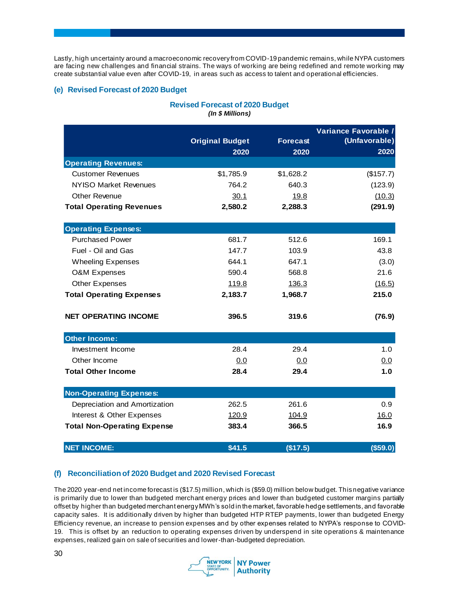Lastly, high uncertainty around a macroeconomic recovery from COVID-19 pandemic remains, while NYPA customers are facing new challenges and financial strains. The ways of working are being redefined and remote working may create substantial value even after COVID-19, in areas such as access to talent and operational efficiencies.

# **(e) Revised Forecast of 2020 Budget**

#### **Revised Forecast of 2020 Budget** *(In \$ Millions)*

|                                    |                                |                         | Variance Favorable /  |
|------------------------------------|--------------------------------|-------------------------|-----------------------|
|                                    | <b>Original Budget</b><br>2020 | <b>Forecast</b><br>2020 | (Unfavorable)<br>2020 |
| <b>Operating Revenues:</b>         |                                |                         |                       |
| <b>Customer Revenues</b>           | \$1,785.9                      | \$1,628.2               | (\$157.7)             |
| NYISO Market Revenues              | 764.2                          | 640.3                   | (123.9)               |
| Other Revenue                      | 30.1                           | <u>19.8</u>             | (10.3)                |
| <b>Total Operating Revenues</b>    | 2,580.2                        | 2,288.3                 | (291.9)               |
|                                    |                                |                         |                       |
| <b>Operating Expenses:</b>         |                                |                         |                       |
| <b>Purchased Power</b>             | 681.7                          | 512.6                   | 169.1                 |
| Fuel - Oil and Gas                 | 147.7                          | 103.9                   | 43.8                  |
| <b>Wheeling Expenses</b>           | 644.1                          | 647.1                   | (3.0)                 |
| <b>O&amp;M Expenses</b>            | 590.4                          | 568.8                   | 21.6                  |
| <b>Other Expenses</b>              | <u>119.8</u>                   | 136.3                   | (16.5)                |
| <b>Total Operating Expenses</b>    | 2,183.7                        | 1,968.7                 | 215.0                 |
| <b>NET OPERATING INCOME</b>        | 396.5                          | 319.6                   | (76.9)                |
| <b>Other Income:</b>               |                                |                         |                       |
| Investment Income                  | 28.4                           | 29.4                    | 1.0                   |
| Other Income                       | 0.0                            | 0.0                     | 0.0                   |
| <b>Total Other Income</b>          | 28.4                           | 29.4                    | 1.0                   |
| <b>Non-Operating Expenses:</b>     |                                |                         |                       |
| Depreciation and Amortization      | 262.5                          | 261.6                   | 0.9                   |
| Interest & Other Expenses          | 120.9                          | 104.9                   | 16.0                  |
| <b>Total Non-Operating Expense</b> | 383.4                          | 366.5                   | 16.9                  |
| <b>NET INCOME:</b>                 | \$41.5                         | (\$17.5)                | (\$59.0)              |

# **(f) Reconciliation of 2020 Budget and 2020 Revised Forecast**

The 2020 year-end net income forecast is (\$17.5) million, which is (\$59.0) million below budget. This negative variance is primarily due to lower than budgeted merchant energy prices and lower than budgeted customer margins partially offset by higher than budgeted merchant energy MWh's sold in the market, favorable hedge settlements, and favorable capacity sales. It is additionally driven by higher than budgeted HTP RTEP payments, lower than budgeted Energy Efficiency revenue, an increase to pension expenses and by other expenses related to NYPA's response to COVID-19. This is offset by an reduction to operating expenses driven by underspend in site operations & maintenance expenses, realized gain on sale of securities and lower-than-budgeted depreciation.

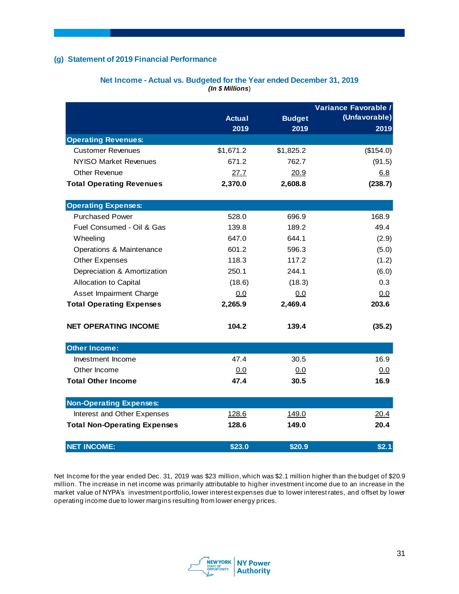#### **(g) Statement of 2019 Financial Performance**

|                                     | <b>Actual</b><br>2019 | <b>Budget</b><br>2019 | Variance Favorable /<br>(Unfavorable)<br>2019 |
|-------------------------------------|-----------------------|-----------------------|-----------------------------------------------|
| <b>Operating Revenues:</b>          |                       |                       |                                               |
| <b>Customer Revenues</b>            | \$1,671.2             | \$1,825.2             | (\$154.0)                                     |
| NYISO Market Revenues               | 671.2                 | 762.7                 | (91.5)                                        |
| <b>Other Revenue</b>                | 27.7                  | 20.9                  | 6.8                                           |
| <b>Total Operating Revenues</b>     | 2,370.0               | 2,608.8               | (238.7)                                       |
| <b>Operating Expenses:</b>          |                       |                       |                                               |
| <b>Purchased Power</b>              | 528.0                 | 696.9                 | 168.9                                         |
| Fuel Consumed - Oil & Gas           | 139.8                 | 189.2                 | 49.4                                          |
| Wheeling                            | 647.0                 | 644.1                 | (2.9)                                         |
| Operations & Maintenance            | 601.2                 | 596.3                 | (5.0)                                         |
| <b>Other Expenses</b>               | 118.3                 | 117.2                 | (1.2)                                         |
| Depreciation & Amortization         | 250.1                 | 244.1                 | (6.0)                                         |
| Allocation to Capital               | (18.6)                | (18.3)                | 0.3                                           |
| Asset Impairment Charge             | 0.0                   | 0.0                   | 0.0                                           |
| <b>Total Operating Expenses</b>     | 2,265.9               | 2,469.4               | 203.6                                         |
| <b>NET OPERATING INCOME</b>         | 104.2                 | 139.4                 | (35.2)                                        |
| <b>Other Income:</b>                |                       |                       |                                               |
| Investment Income                   | 47.4                  | 30.5                  | 16.9                                          |
| Other Income                        | 0.0                   | 0.0                   | 0.0                                           |
| <b>Total Other Income</b>           | 47.4                  | 30.5                  | 16.9                                          |
| <b>Non-Operating Expenses:</b>      |                       |                       |                                               |
| Interest and Other Expenses         | 128.6                 | 149.0                 | 20.4                                          |
| <b>Total Non-Operating Expenses</b> | 128.6                 | 149.0                 | 20.4                                          |
| <b>NET INCOME:</b>                  | \$23.0                | \$20.9                | \$2.1                                         |

#### **Net Income - Actual vs. Budgeted for the Year ended December 31, 2019** *(In \$ Millions*)

Net Income for the year ended Dec. 31, 2019 was \$23 million, which was \$2.1 million higher than the budget of \$20.9 million. The increase in net income was primarily attributable to higher investment income due to an increase in the market value of NYPA's investment portfolio, lower interest expenses due to lower interest rates, and offset by lower operating income due to lower margins resulting from lower energy prices.

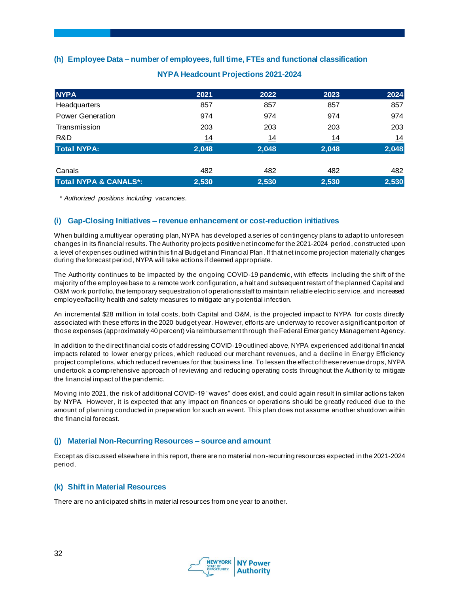# **(h) Employee Data – number of employees, full time, FTEs and functional classification**

| <b>NYPA</b>                      | 2021      | 2022       | 2023      | 2024      |
|----------------------------------|-----------|------------|-----------|-----------|
| Headquarters                     | 857       | 857        | 857       | 857       |
| <b>Power Generation</b>          | 974       | 974        | 974       | 974       |
| Transmission                     | 203       | 203        | 203       | 203       |
| R&D                              | <u>14</u> | <u> 14</u> | <u>14</u> | <u>14</u> |
| <b>Total NYPA:</b>               | 2,048     | 2,048      | 2,048     | 2,048     |
|                                  |           |            |           |           |
| Canals                           | 482       | 482        | 482       | 482       |
| <b>Total NYPA &amp; CANALS*:</b> | 2,530     | 2,530      | 2,530     | 2,530     |

# **NYPA Headcount Projections 2021-2024**

*\* Authorized positions including vacancies.*

#### **(i) Gap-Closing Initiatives – revenue enhancement or cost-reduction initiatives**

When building a multiyear operating plan, NYPA has developed a series of contingency plans to adapt to unforeseen changes in its financial results. The Authority projects positive net income for the 2021-2024 period, constructed upon a level of expenses outlined within this final Budget and Financial Plan. If that net income projection materially changes during the forecast period, NYPA will take actions if deemed appropriate.

The Authority continues to be impacted by the ongoing COVID-19 pandemic, with effects including the shift of the majority of the employee base to a remote work configuration, a halt and subsequent restart of the planned Capital and O&M work portfolio, the temporary sequestration of operations staff to maintain reliable electric serv ice, and increased employee/facility health and safety measures to mitigate any potential infection.

An incremental \$28 million in total costs, both Capital and O&M, is the projected impact to NYPA for costs directly associated with these efforts in the 2020 budget year. However, efforts are underway to recover a significant portion of those expenses (approximately 40 percent) via reimbursement through the Federal Emergency Management Agency.

In addition to the direct financial costs of addressing COVID-19 outlined above, NYPA experienced additional financial impacts related to lower energy prices, which reduced our merchant revenues, and a decline in Energy Efficiency project completions, which reduced revenues for that business line. To lessen the effect of these revenue drops, NYPA undertook a comprehensive approach of reviewing and reducing operating costs throughout the Authori ty to mitigate the financial impact of the pandemic.

Moving into 2021, the risk of additional COVID-19 "waves" does exist, and could again result in similar actions taken by NYPA. However, it is expected that any impact on finances or operations should be greatly reduced due to the amount of planning conducted in preparation for such an event. This plan does not assume another shutdown within the financial forecast.

#### **(j) Material Non-Recurring Resources – source and amount**

Except as discussed elsewhere in this report, there are no material non-recurring resources expected in the 2021-2024 period.

#### **(k) Shift in Material Resources**

There are no anticipated shifts in material resources from one year to another.

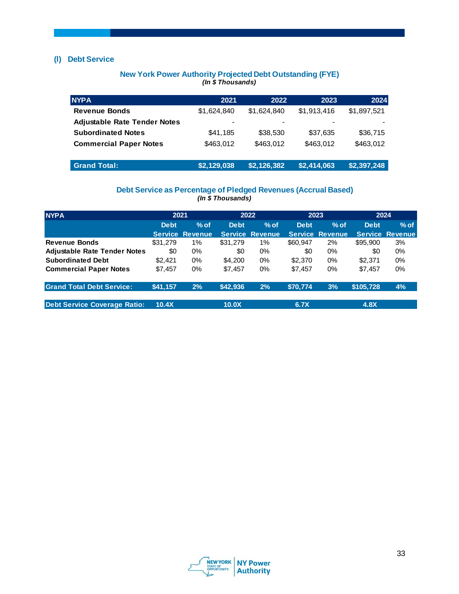# **(l) Debt Service**

#### **New York Power Authority Projected Debt Outstanding (FYE)** *(In \$ Thousands)*

| <b>NYPA</b>                         | 2021                     | 2022        | 2023        | 2024        |
|-------------------------------------|--------------------------|-------------|-------------|-------------|
| <b>Revenue Bonds</b>                | \$1.624.840              | \$1.624.840 | \$1,913,416 | \$1,897,521 |
| <b>Adjustable Rate Tender Notes</b> | $\overline{\phantom{a}}$ |             |             |             |
| <b>Subordinated Notes</b>           | \$41,185                 | \$38,530    | \$37,635    | \$36,715    |
| <b>Commercial Paper Notes</b>       | \$463.012                | \$463.012   | \$463.012   | \$463.012   |
| <b>Grand Total:</b>                 | \$2,129,038              | \$2,126,382 | \$2,414,063 | \$2,397,248 |

#### **Debt Service as Percentage of Pledged Revenues (Accrual Based)** *(In \$ Thousands)*

| <b>NYPA</b>                         |             | 2021<br>2022           |             | 2023                   |             | 2024                   |             |                        |
|-------------------------------------|-------------|------------------------|-------------|------------------------|-------------|------------------------|-------------|------------------------|
|                                     | <b>Debt</b> | $%$ of                 | <b>Debt</b> | $%$ of                 | <b>Debt</b> | $%$ of                 | <b>Debt</b> | $%$ of                 |
|                                     |             | <b>Service Revenue</b> |             | <b>Service Revenue</b> |             | <b>Service Revenue</b> |             | <b>Service Revenue</b> |
| <b>Revenue Bonds</b>                | \$31,279    | 1%                     | \$31,279    | 1%                     | \$60,947    | 2%                     | \$95,900    | 3%                     |
| <b>Adjustable Rate Tender Notes</b> | \$0         | $0\%$                  | \$0         | 0%                     | \$0         | 0%                     | \$0         | $0\%$                  |
| <b>Subordinated Debt</b>            | \$2,421     | $0\%$                  | \$4,200     | $0\%$                  | \$2,370     | $0\%$                  | \$2,371     | $0\%$                  |
| <b>Commercial Paper Notes</b>       | \$7.457     | $0\%$                  | \$7,457     | $0\%$                  | \$7.457     | $0\%$                  | \$7.457     | $0\%$                  |
| <b>Grand Total Debt Service:</b>    | \$41,157    | 2%                     | \$42,936    | 2%                     | \$70,774    | 3%                     | \$105,728   | 4%                     |
| <b>Debt Service Coverage Ratio:</b> | 10.4X       |                        | 10.0X       |                        | 6.7X        |                        | 4.8X        |                        |

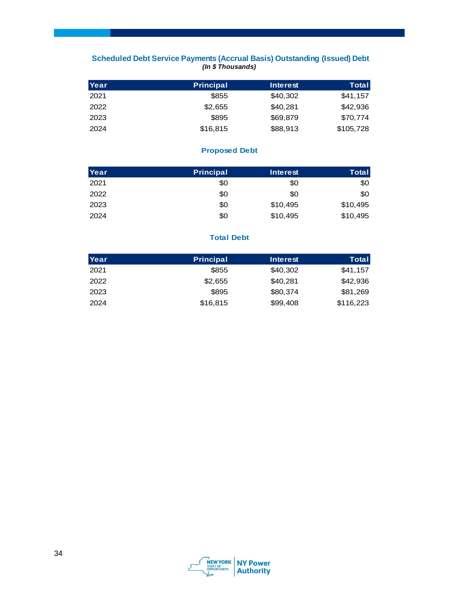# **Scheduled Debt Service Payments (Accrual Basis) Outstanding (Issued) Debt** *(In \$ Thousands)*

| Scheduled Debt Service Payments (Accrual Basis) Outstanding (Issued) Debt<br>(In \$Thousands) |                  |                 |              |  |  |
|-----------------------------------------------------------------------------------------------|------------------|-----------------|--------------|--|--|
| Year                                                                                          | <b>Principal</b> | <b>Interest</b> | <b>Total</b> |  |  |
| 2021                                                                                          | \$855            | \$40,302        | \$41,157     |  |  |
| 2022                                                                                          | \$2,655          | \$40,281        | \$42,936     |  |  |
| 2023                                                                                          | \$895            | \$69,879        | \$70.774     |  |  |
| 2024                                                                                          | \$16,815         | \$88,913        | \$105,728    |  |  |

# **Proposed Debt**

| <b>Proposed Debt</b> |                  |                 |              |  |  |
|----------------------|------------------|-----------------|--------------|--|--|
| Year                 | <b>Principal</b> | <b>Interest</b> | <b>Total</b> |  |  |
| 2021                 | \$0              | \$0             | \$0          |  |  |
| 2022                 | \$0              | \$0             | \$0          |  |  |
| 2023                 | \$0              | \$10,495        | \$10,495     |  |  |
| 2024                 | \$0              | \$10,495        | \$10,495     |  |  |

# **Total Debt**

| <b>Total Debt</b> |                  |                 |           |  |  |
|-------------------|------------------|-----------------|-----------|--|--|
| Year              | <b>Principal</b> | <b>Interest</b> | Total     |  |  |
| 2021              | \$855            | \$40,302        | \$41,157  |  |  |
| 2022              | \$2,655          | \$40,281        | \$42,936  |  |  |
| 2023              | \$895            | \$80,374        | \$81,269  |  |  |
| 2024              | \$16,815         | \$99,408        | \$116,223 |  |  |

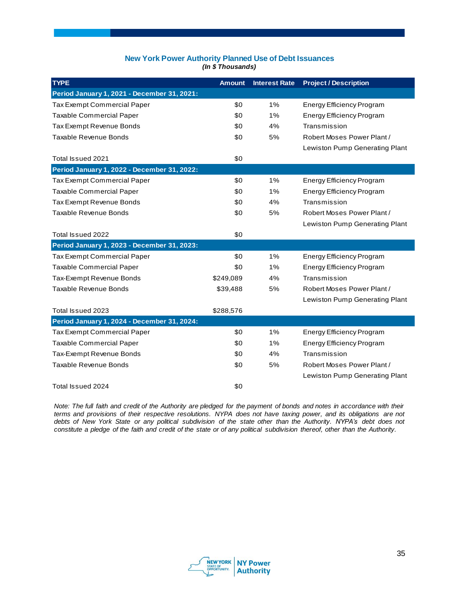#### **New York Power Authority Planned Use of Debt Issuances** *(In \$ Thousands)*

| <b>TYPE</b>                                 | <b>Amount</b> | <b>Interest Rate</b> | <b>Project / Description</b>     |
|---------------------------------------------|---------------|----------------------|----------------------------------|
| Period January 1, 2021 - December 31, 2021: |               |                      |                                  |
| Tax Exempt Commercial Paper                 | \$0           | 1%                   | <b>Energy Efficiency Program</b> |
| <b>Taxable Commercial Paper</b>             | \$0           | 1%                   | <b>Energy Efficiency Program</b> |
| Tax Exempt Revenue Bonds                    | \$0           | 4%                   | Transmission                     |
| <b>Taxable Revenue Bonds</b>                | \$0           | 5%                   | Robert Moses Power Plant /       |
|                                             |               |                      | Lewiston Pump Generating Plant   |
| Total Issued 2021                           | \$0           |                      |                                  |
| Period January 1, 2022 - December 31, 2022: |               |                      |                                  |
| Tax Exempt Commercial Paper                 | \$0           | 1%                   | Energy Efficiency Program        |
| <b>Taxable Commercial Paper</b>             | \$0           | 1%                   | <b>Energy Efficiency Program</b> |
| Tax Exempt Revenue Bonds                    | \$0           | 4%                   | Transmission                     |
| <b>Taxable Revenue Bonds</b>                | \$0           | 5%                   | Robert Moses Power Plant /       |
|                                             |               |                      | Lewiston Pump Generating Plant   |
| Total Issued 2022                           | \$0           |                      |                                  |
| Period January 1, 2023 - December 31, 2023: |               |                      |                                  |
| Tax Exempt Commercial Paper                 | \$0           | 1%                   | <b>Energy Efficiency Program</b> |
| <b>Taxable Commercial Paper</b>             | \$0           | 1%                   | <b>Energy Efficiency Program</b> |
| Tax-Exempt Revenue Bonds                    | \$249,089     | 4%                   | Transmission                     |
| Taxable Revenue Bonds                       | \$39,488      | 5%                   | Robert Moses Power Plant /       |
|                                             |               |                      | Lewiston Pump Generating Plant   |
| Total Issued 2023                           | \$288,576     |                      |                                  |
| Period January 1, 2024 - December 31, 2024: |               |                      |                                  |
| Tax Exempt Commercial Paper                 | \$0           | 1%                   | <b>Energy Efficiency Program</b> |
| Taxable Commercial Paper                    | \$0           | 1%                   | <b>Energy Efficiency Program</b> |
| Tax-Exempt Revenue Bonds                    | \$0           | 4%                   | Transmission                     |
| <b>Taxable Revenue Bonds</b>                | \$0           | 5%                   | Robert Moses Power Plant /       |
|                                             |               |                      | Lewiston Pump Generating Plant   |
| Total Issued 2024                           | \$0           |                      |                                  |

*Note: The full faith and credit of the Authority are pledged for the payment of bonds and notes in accordance with their terms and provisions of their respective resolutions. NYPA does not have taxing power, and its obligations are not debts of New York State or any political subdivision of the state other than the Authority. NYPA's debt does not constitute a pledge of the faith and credit of the state or of any political subdivision thereof, other than the Authority.*

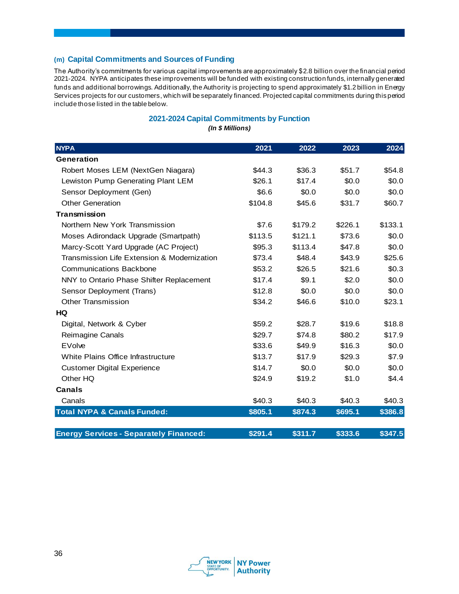# **(m) Capital Commitments and Sources of Funding**

The Authority's commitments for various capital improvements are approximately \$2.8 billion over the financial period 2021-2024. NYPA anticipates these improvements will be funded with existing construction funds, internally generated funds and additional borrowings. Additionally, the Authority is projecting to spend approximately \$1.2 billion in Energy Services projects for our customers, which will be separately financed. Projected capital commitments during this period include those listed in the table below.

# **2021-2024 Capital Commitments by Function**

*(In \$ Millions)*

| <b>NYPA</b>                                   | 2021    | 2022    | 2023    | 2024    |
|-----------------------------------------------|---------|---------|---------|---------|
| Generation                                    |         |         |         |         |
| Robert Moses LEM (NextGen Niagara)            | \$44.3  | \$36.3  | \$51.7  | \$54.8  |
| Lewiston Pump Generating Plant LEM            | \$26.1  | \$17.4  | \$0.0   | \$0.0   |
| Sensor Deployment (Gen)                       | \$6.6   | \$0.0   | \$0.0   | \$0.0   |
| <b>Other Generation</b>                       | \$104.8 | \$45.6  | \$31.7  | \$60.7  |
| Transmission                                  |         |         |         |         |
| Northern New York Transmission                | \$7.6   | \$179.2 | \$226.1 | \$133.1 |
| Moses Adirondack Upgrade (Smartpath)          | \$113.5 | \$121.1 | \$73.6  | \$0.0   |
| Marcy-Scott Yard Upgrade (AC Project)         | \$95.3  | \$113.4 | \$47.8  | \$0.0   |
| Transmission Life Extension & Modernization   | \$73.4  | \$48.4  | \$43.9  | \$25.6  |
| <b>Communications Backbone</b>                | \$53.2  | \$26.5  | \$21.6  | \$0.3   |
| NNY to Ontario Phase Shifter Replacement      | \$17.4  | \$9.1   | \$2.0   | \$0.0   |
| Sensor Deployment (Trans)                     | \$12.8  | \$0.0   | \$0.0   | \$0.0   |
| <b>Other Transmission</b>                     | \$34.2  | \$46.6  | \$10.0  | \$23.1  |
| HQ                                            |         |         |         |         |
| Digital, Network & Cyber                      | \$59.2  | \$28.7  | \$19.6  | \$18.8  |
| Reimagine Canals                              | \$29.7  | \$74.8  | \$80.2  | \$17.9  |
| EVolve                                        | \$33.6  | \$49.9  | \$16.3  | \$0.0   |
| White Plains Office Infrastructure            | \$13.7  | \$17.9  | \$29.3  | \$7.9   |
| <b>Customer Digital Experience</b>            | \$14.7  | \$0.0   | \$0.0   | \$0.0   |
| Other HQ                                      | \$24.9  | \$19.2  | \$1.0   | \$4.4   |
| <b>Canals</b>                                 |         |         |         |         |
| Canals                                        | \$40.3  | \$40.3  | \$40.3  | \$40.3  |
| <b>Total NYPA &amp; Canals Funded:</b>        | \$805.1 | \$874.3 | \$695.1 | \$386.8 |
| <b>Energy Services - Separately Financed:</b> | \$291.4 | \$311.7 | \$333.6 | \$347.5 |

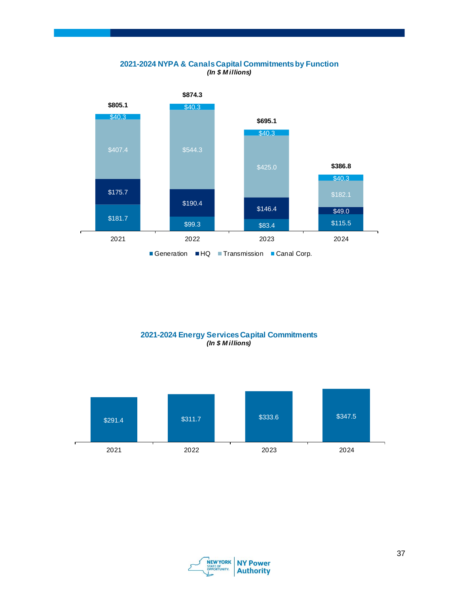### **2021-2024 NYPA & Canals Capital Commitments by Function**  *(In \$ M illions)*



# **2021-2024 Energy Services Capital Commitments** *(In \$ M illions)*



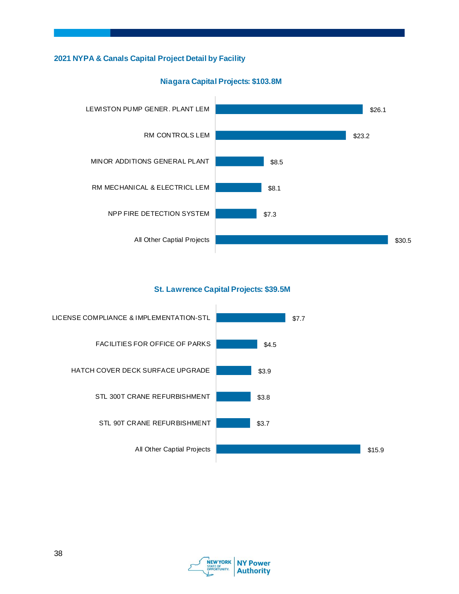# **2021 NYPA & Canals Capital Project Detail by Facility**



# **Niagara Capital Projects: \$103.8M**

# **St. Lawrence Capital Projects: \$39.5M**



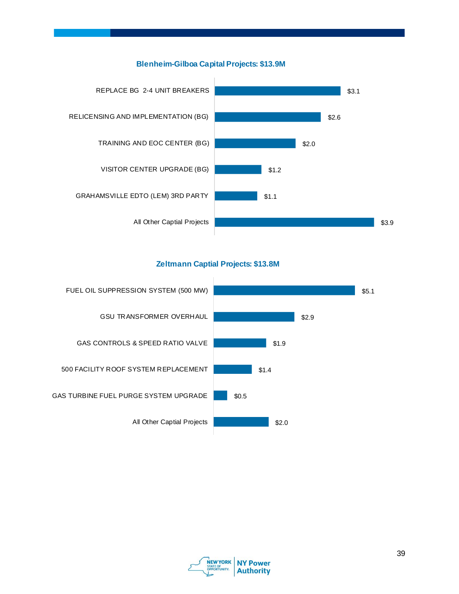# **Blenheim-Gilboa Capital Projects: \$13.9M**



# **Zeltmann Captial Projects: \$13.8M**



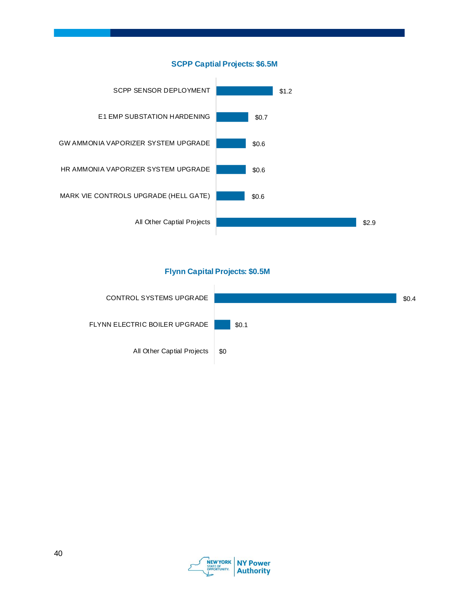



# **Flynn Capital Projects: \$0.5M**



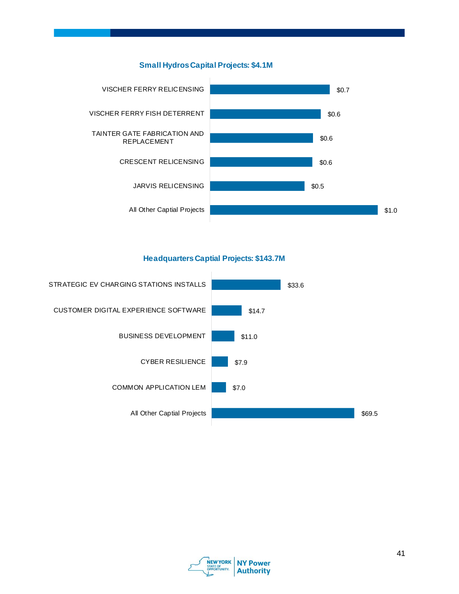



**Headquarters Captial Projects: \$143.7M**



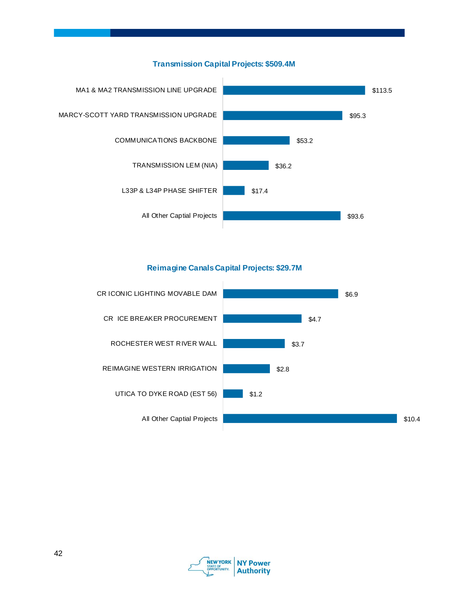

# **Transmission Capital Projects: \$509.4M**

# **Reimagine Canals Capital Projects: \$29.7M**



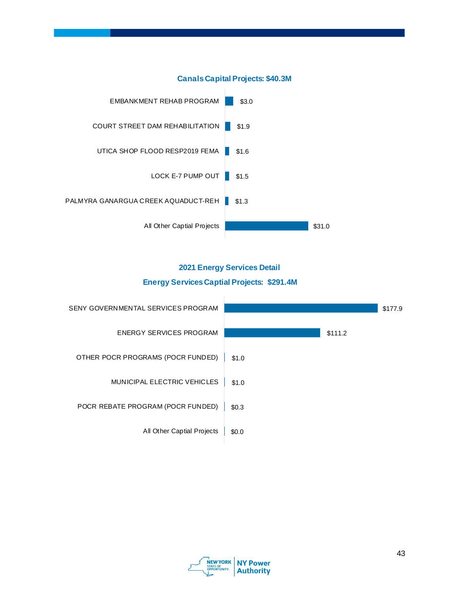

# **Canals Capital Projects: \$40.3M**

# **2021 Energy Services Detail Energy Services Captial Projects: \$291.4M**



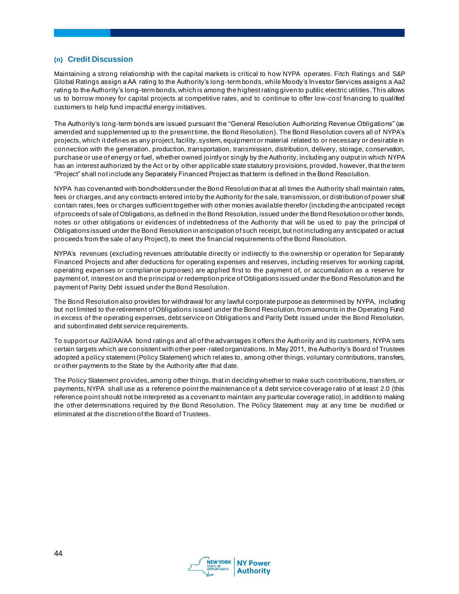#### **(n) Credit Discussion**

Maintaining a strong relationship with the capital markets is critical to how NYPA operates. Fitch Ratings and S&P Global Ratings assign a AA rating to the Authority's long-term bonds, while Moody's Investor Services assigns a Aa2 rating to the Authority's long-term bonds, which is among the highest rating given to public electric utilities. This allows us to borrow money for capital projects at competitive rates, and to continue to offer low-cost financing to qualified customers to help fund impactful energy initiatives.

The Authority's long-term bonds are issued pursuant the "General Resolution Authorizing Revenue Obligations" (as amended and supplemented up to the present time, the Bond Resolution). The Bond Resolution covers all of NYPA's projects, which it defines as any project, facility, system, equipment or material related to or necessary or desirable in connection with the generation, production, transportation, transmission, distribution, delivery, storage, conservation, purchase or use of energy or fuel, whether owned jointly or singly by the Authority, including any output in which NYPA has an interest authorized by the Act or by other applicable state statutory provisions, provided, however, that the term "Project" shall not include any Separately Financed Project as that term is defined in the Bond Resolution.

NYPA has covenanted with bondholders under the Bond Resolution that at all times the Authority shall maintain rates, fees or charges, and any contracts entered into by the Authority for the sale, transmission, or distribution of power shall contain rates, fees or charges sufficient together with other monies available therefor (including the anticipated receipt of proceeds of sale of Obligations, as defined in the Bond Resolution, issued under the Bond Resolution or other bonds, notes or other obligations or evidences of indebtedness of the Authority that will be us ed to pay the principal of Obligations issued under the Bond Resolution in anticipation of such receipt, but not including any anticipated or actual proceeds from the sale of any Project), to meet the financial requirements of the Bond Resolution.

NYPA's revenues (excluding revenues attributable directly or indirectly to the ownership or operation for Separately Financed Projects and after deductions for operating expenses and reserves, including reserves for working capital, operating expenses or compliance purposes) are applied first to the payment of, or accumulation as a reserve for payment of, interest on and the principal or redemption price of Obligations issued under the Bond Resolution and the payment of Parity Debt issued under the Bond Resolution.

The Bond Resolution also provides for withdrawal for any lawful corporate purpose as determined by NYPA, including but not limited to the retirement of Obligations issued under the Bond Resolution, from amounts in the Operating Fund in excess of the operating expenses, debt service on Obligations and Parity Debt issued under the Bond Resolution, and subordinated debt service requirements.

To support our Aa2/AA/AA bond ratings and all of the advantages it offers the Authority and its customers, NYPA sets certain targets which are consistent with other peer-rated organizations. In May 2011, the Authority's Board of Trustees adopted a policy statement (Policy Statement) which relates to, among other things, voluntary contributions, transfers, or other payments to the State by the Authority after that date.

The Policy Statement provides, among other things, that in deciding whether to make such contributions, transfers, or payments, NYPA shall use as a reference point the maintenance of a debt service coverage ratio of at least 2.0 (this reference point should not be interpreted as a covenant to maintain any particular coverage ratio), in addition to making the other determinations required by the Bond Resolution. The Policy Statement may at any time be modified or eliminated at the discretion of the Board of Trustees.

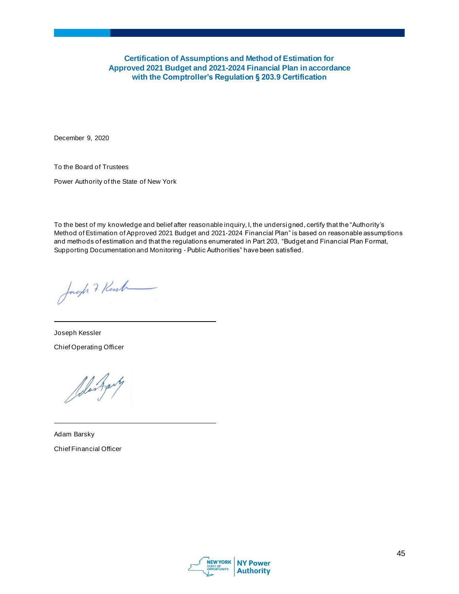**Certification of Assumptions and Method of Estimation for Approved 2021 Budget and 2021-2024 Financial Plan in accordance with the Comptroller's Regulation § 203.9 Certification**

December 9, 2020

To the Board of Trustees

Power Authority of the State of New York

To the best of my knowledge and belief after reasonable inquiry, I, the undersigned, certify that the "Authority's Method of Estimation of Approved 2021 Budget and 2021-2024 Financial Plan" is based on reasonable assumptions and methods of estimation and that the regulations enumerated in Part 203, "Budget and Financial Plan Format, Supporting Documentation and Monitoring - Public Authorities" have been satisfied.

Just 7 Kent

Joseph Kessler Chief Operating Officer

Alex Agenty

Adam Barsky Chief Financial Officer